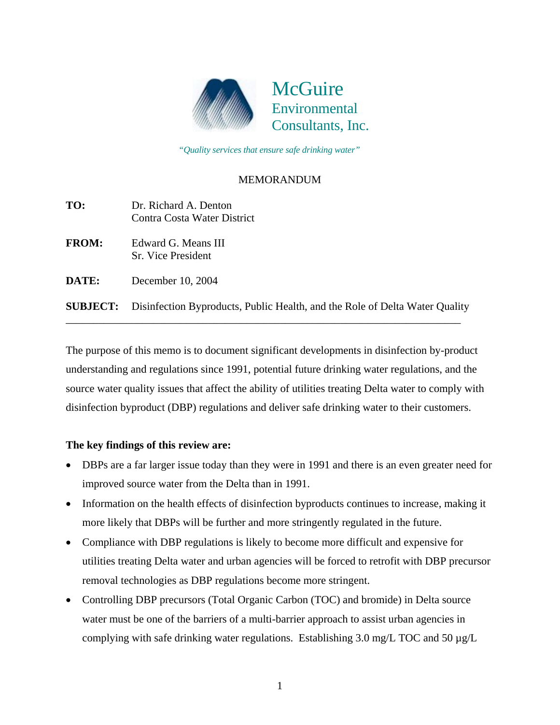

 *"Quality services that ensure safe drinking water"*

## MEMORANDUM

| TO:             | Dr. Richard A. Denton<br>Contra Costa Water District                        |
|-----------------|-----------------------------------------------------------------------------|
| <b>FROM:</b>    | Edward G. Means III<br>Sr. Vice President                                   |
| DATE:           | December 10, 2004                                                           |
| <b>SUBJECT:</b> | Disinfection Byproducts, Public Health, and the Role of Delta Water Quality |

The purpose of this memo is to document significant developments in disinfection by-product understanding and regulations since 1991, potential future drinking water regulations, and the source water quality issues that affect the ability of utilities treating Delta water to comply with disinfection byproduct (DBP) regulations and deliver safe drinking water to their customers.

## **The key findings of this review are:**

- DBPs are a far larger issue today than they were in 1991 and there is an even greater need for improved source water from the Delta than in 1991.
- Information on the health effects of disinfection byproducts continues to increase, making it more likely that DBPs will be further and more stringently regulated in the future.
- Compliance with DBP regulations is likely to become more difficult and expensive for utilities treating Delta water and urban agencies will be forced to retrofit with DBP precursor removal technologies as DBP regulations become more stringent.
- Controlling DBP precursors (Total Organic Carbon (TOC) and bromide) in Delta source water must be one of the barriers of a multi-barrier approach to assist urban agencies in complying with safe drinking water regulations.Establishing 3.0 mg/L TOC and 50 µg/L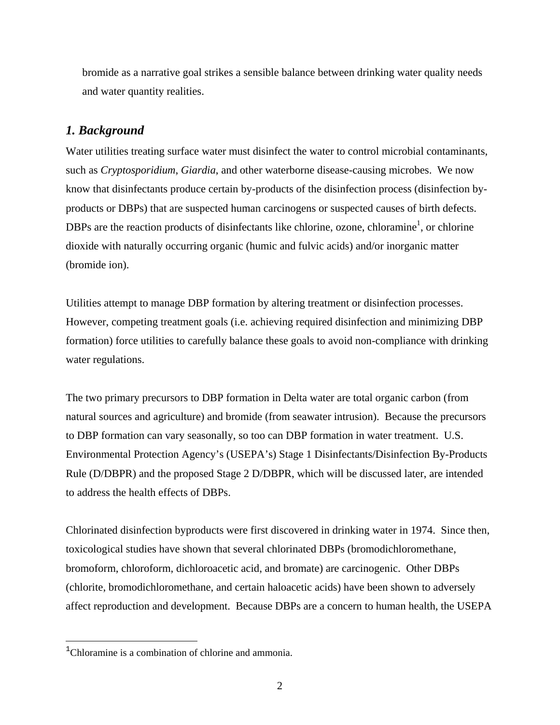bromide as a narrative goal strikes a sensible balance between drinking water quality needs and water quantity realities.

## *1. Background*

Water utilities treating surface water must disinfect the water to control microbial contaminants, such as *Cryptosporidium*, *Giardia*, and other waterborne disease-causing microbes. We now know that disinfectants produce certain by-products of the disinfection process (disinfection byproducts or DBPs) that are suspected human carcinogens or suspected causes of birth defects. DBPs are the reaction products of disinfectants like chlorine, ozone, chloramine<sup>[1](#page-1-0)</sup>, or chlorine dioxide with naturally occurring organic (humic and fulvic acids) and/or inorganic matter (bromide ion).

Utilities attempt to manage DBP formation by altering treatment or disinfection processes. However, competing treatment goals (i.e. achieving required disinfection and minimizing DBP formation) force utilities to carefully balance these goals to avoid non-compliance with drinking water regulations.

The two primary precursors to DBP formation in Delta water are total organic carbon (from natural sources and agriculture) and bromide (from seawater intrusion). Because the precursors to DBP formation can vary seasonally, so too can DBP formation in water treatment. U.S. Environmental Protection Agency's (USEPA's) Stage 1 Disinfectants/Disinfection By-Products Rule (D/DBPR) and the proposed Stage 2 D/DBPR, which will be discussed later, are intended to address the health effects of DBPs.

Chlorinated disinfection byproducts were first discovered in drinking water in 1974. Since then, toxicological studies have shown that several chlorinated DBPs (bromodichloromethane, bromoform, chloroform, dichloroacetic acid, and bromate) are carcinogenic. Other DBPs (chlorite, bromodichloromethane, and certain haloacetic acids) have been shown to adversely affect reproduction and development. Because DBPs are a concern to human health, the USEPA

 $\overline{a}$ 

<span id="page-1-0"></span><sup>&</sup>lt;sup>1</sup>Chloramine is a combination of chlorine and ammonia.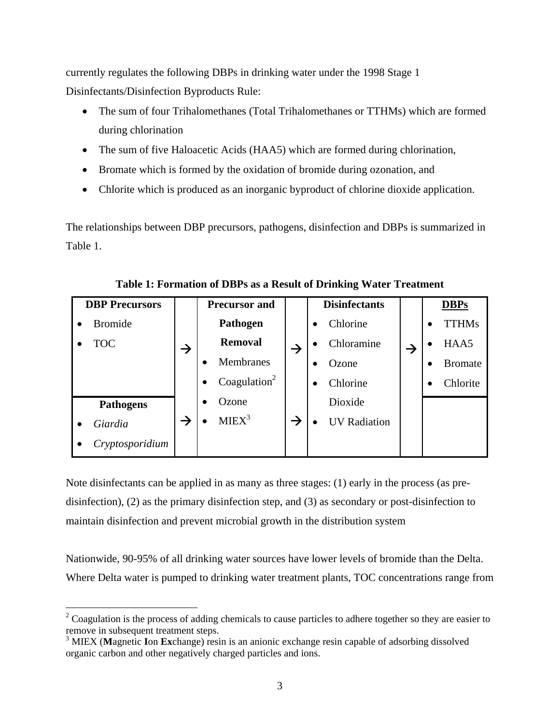currently regulates the following DBPs in drinking water under the 1998 Stage 1 Disinfectants/Disinfection Byproducts Rule:

- The sum of four Trihalomethanes (Total Trihalomethanes or TTHMs) which are formed during chlorination
- The sum of five Haloacetic Acids (HAA5) which are formed during chlorination,
- Bromate which is formed by the oxidation of bromide during ozonation, and
- Chlorite which is produced as an inorganic byproduct of chlorine dioxide application.

The relationships between DBP precursors, pathogens, disinfection and DBPs is summarized in Table 1.

| <b>DBP Precursors</b> |                  |               | <b>Precursor and</b>                  |               | <b>Disinfectants</b>  |   | <b>DBPs</b>    |
|-----------------------|------------------|---------------|---------------------------------------|---------------|-----------------------|---|----------------|
|                       | <b>Bromide</b>   |               | Pathogen                              |               | Chlorine<br>$\bullet$ |   | <b>TTHMs</b>   |
|                       | <b>TOC</b>       | $\rightarrow$ | <b>Removal</b>                        |               | Chloramine            | → | HAA5           |
|                       |                  |               | <b>Membranes</b>                      |               | Ozone<br>$\bullet$    |   | <b>Bromate</b> |
|                       |                  |               | Coagulation <sup>2</sup><br>$\bullet$ |               | Chlorine<br>٠         |   | Chlorite       |
|                       | <b>Pathogens</b> |               | Ozone                                 |               | Dioxide               |   |                |
|                       | Giardia          | $\rightarrow$ | MIEX <sup>3</sup>                     | $\rightarrow$ | <b>UV</b> Radiation   |   |                |
|                       | Cryptosporidium  |               |                                       |               |                       |   |                |

**Table 1: Formation of DBPs as a Result of Drinking Water Treatment** 

Note disinfectants can be applied in as many as three stages: (1) early in the process (as predisinfection), (2) as the primary disinfection step, and (3) as secondary or post-disinfection to maintain disinfection and prevent microbial growth in the distribution system

Nationwide, 90-95% of all drinking water sources have lower levels of bromide than the Delta. Where Delta water is pumped to drinking water treatment plants, TOC concentrations range from

 $\overline{a}$ 

<span id="page-2-0"></span> $2^2$  Coagulation is the process of adding chemicals to cause particles to adhere together so they are easier to remove in subsequent treatment steps.

<span id="page-2-1"></span><sup>3</sup> MIEX (**M**agnetic **I**on **Ex**change) resin is an anionic exchange resin capable of adsorbing dissolved organic carbon and other negatively charged particles and ions.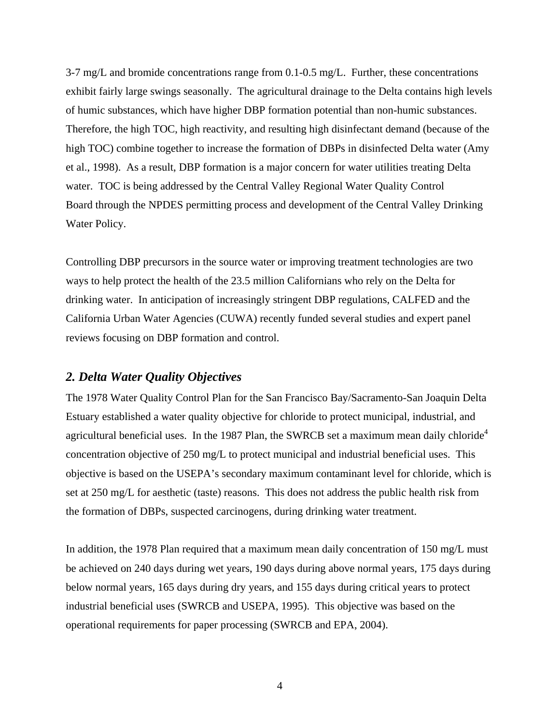$3-7$  mg/L and bromide concentrations range from 0.1-0.5 mg/L. Further, these concentrations exhibit fairly large swings seasonally. The agricultural drainage to the Delta contains high levels of humic substances, which have higher DBP formation potential than non-humic substances. Therefore, the high TOC, high reactivity, and resulting high disinfectant demand (because of the high TOC) combine together to increase the formation of DBPs in disinfected Delta water (Amy et al., 1998). As a result, DBP formation is a major concern for water utilities treating Delta water. TOC is being addressed by the Central Valley Regional Water Quality Control Board through the NPDES permitting process and development of the Central Valley Drinking Water Policy.

Controlling DBP precursors in the source water or improving treatment technologies are two ways to help protect the health of the 23.5 million Californians who rely on the Delta for drinking water. In anticipation of increasingly stringent DBP regulations, CALFED and the California Urban Water Agencies (CUWA) recently funded several studies and expert panel reviews focusing on DBP formation and control.

## *2. Delta Water Quality Objectives*

The 1978 Water Quality Control Plan for the San Francisco Bay/Sacramento-San Joaquin Delta Estuary established a water quality objective for chloride to protect municipal, industrial, and agricultural beneficial uses. In the 1987 Plan, the SWRCB set a maximum mean daily chloride<sup>[4](#page-3-0)</sup> concentration objective of 250 mg/L to protect municipal and industrial beneficial uses. This objective is based on the USEPA's secondary maximum contaminant level for chloride, which is set at 250 mg/L for aesthetic (taste) reasons. This does not address the public health risk from the formation of DBPs, suspected carcinogens, during drinking water treatment.

<span id="page-3-0"></span>In addition, the 1978 Plan required that a maximum mean daily concentration of 150 mg/L must be achieved on 240 days during wet years, 190 days during above normal years, 175 days during below normal years, 165 days during dry years, and 155 days during critical years to protect industrial beneficial uses (SWRCB and USEPA, 1995). This objective was based on the operational requirements for paper processing (SWRCB and EPA, 2004).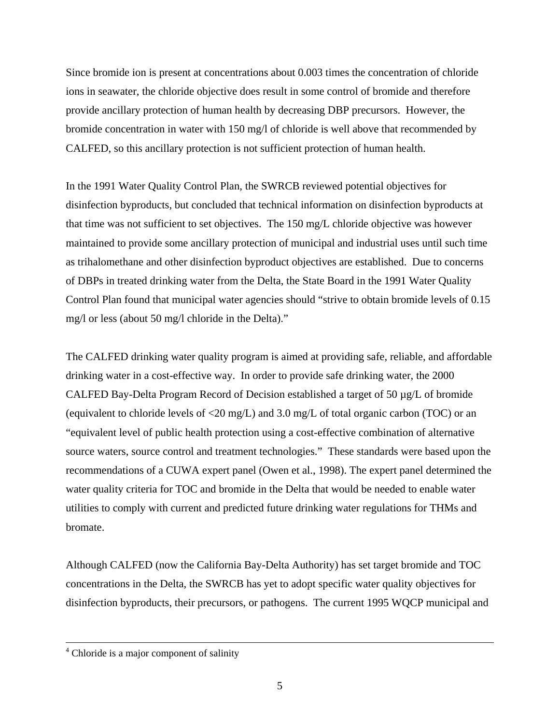Since bromide ion is present at concentrations about 0.003 times the concentration of chloride ions in seawater, the chloride objective does result in some control of bromide and therefore provide ancillary protection of human health by decreasing DBP precursors. However, the bromide concentration in water with 150 mg/l of chloride is well above that recommended by CALFED, so this ancillary protection is not sufficient protection of human health.

In the 1991 Water Quality Control Plan, the SWRCB reviewed potential objectives for disinfection byproducts, but concluded that technical information on disinfection byproducts at that time was not sufficient to set objectives. The 150 mg/L chloride objective was however maintained to provide some ancillary protection of municipal and industrial uses until such time as trihalomethane and other disinfection byproduct objectives are established. Due to concerns of DBPs in treated drinking water from the Delta, the State Board in the 1991 Water Quality Control Plan found that municipal water agencies should "strive to obtain bromide levels of 0.15 mg/l or less (about 50 mg/l chloride in the Delta)."

The CALFED drinking water quality program is aimed at providing safe, reliable, and affordable drinking water in a cost-effective way. In order to provide safe drinking water, the 2000 CALFED Bay-Delta Program Record of Decision established a target of 50 µg/L of bromide (equivalent to chloride levels of <20 mg/L) and 3.0 mg/L of total organic carbon (TOC) or an "equivalent level of public health protection using a cost-effective combination of alternative source waters, source control and treatment technologies." These standards were based upon the recommendations of a CUWA expert panel (Owen et al., 1998). The expert panel determined the water quality criteria for TOC and bromide in the Delta that would be needed to enable water utilities to comply with current and predicted future drinking water regulations for THMs and bromate.

Although CALFED (now the California Bay-Delta Authority) has set target bromide and TOC concentrations in the Delta, the SWRCB has yet to adopt specific water quality objectives for disinfection byproducts, their precursors, or pathogens. The current 1995 WQCP municipal and

 $\frac{1}{4}$ <sup>4</sup> Chloride is a major component of salinity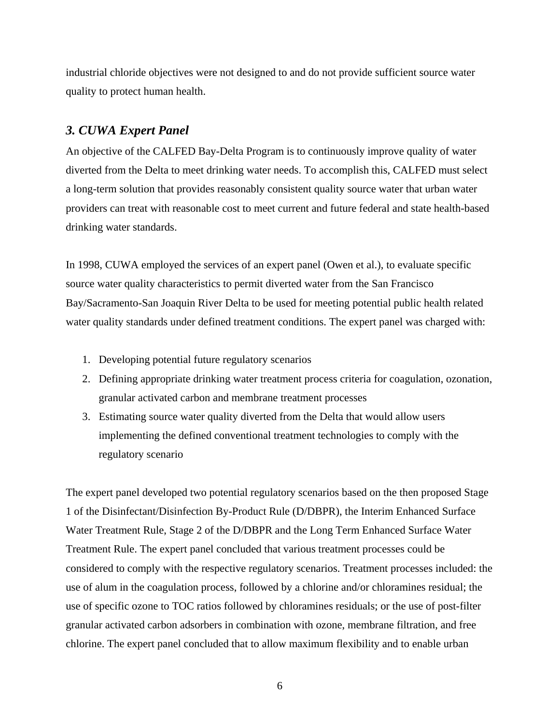industrial chloride objectives were not designed to and do not provide sufficient source water quality to protect human health.

## *3. CUWA Expert Panel*

An objective of the CALFED Bay-Delta Program is to continuously improve quality of water diverted from the Delta to meet drinking water needs. To accomplish this, CALFED must select a long-term solution that provides reasonably consistent quality source water that urban water providers can treat with reasonable cost to meet current and future federal and state health-based drinking water standards.

In 1998, CUWA employed the services of an expert panel (Owen et al.), to evaluate specific source water quality characteristics to permit diverted water from the San Francisco Bay/Sacramento-San Joaquin River Delta to be used for meeting potential public health related water quality standards under defined treatment conditions. The expert panel was charged with:

- 1. Developing potential future regulatory scenarios
- 2. Defining appropriate drinking water treatment process criteria for coagulation, ozonation, granular activated carbon and membrane treatment processes
- 3. Estimating source water quality diverted from the Delta that would allow users implementing the defined conventional treatment technologies to comply with the regulatory scenario

The expert panel developed two potential regulatory scenarios based on the then proposed Stage 1 of the Disinfectant/Disinfection By-Product Rule (D/DBPR), the Interim Enhanced Surface Water Treatment Rule, Stage 2 of the D/DBPR and the Long Term Enhanced Surface Water Treatment Rule. The expert panel concluded that various treatment processes could be considered to comply with the respective regulatory scenarios. Treatment processes included: the use of alum in the coagulation process, followed by a chlorine and/or chloramines residual; the use of specific ozone to TOC ratios followed by chloramines residuals; or the use of post-filter granular activated carbon adsorbers in combination with ozone, membrane filtration, and free chlorine. The expert panel concluded that to allow maximum flexibility and to enable urban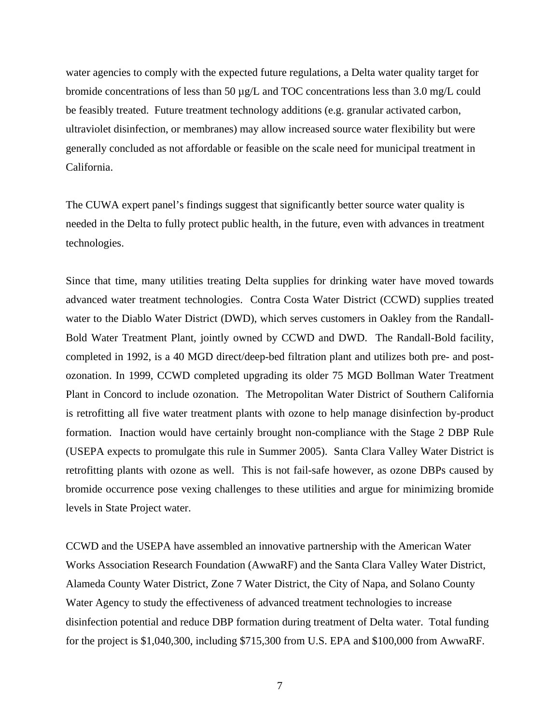water agencies to comply with the expected future regulations, a Delta water quality target for bromide concentrations of less than 50 µg/L and TOC concentrations less than 3.0 mg/L could be feasibly treated. Future treatment technology additions (e.g. granular activated carbon, ultraviolet disinfection, or membranes) may allow increased source water flexibility but were generally concluded as not affordable or feasible on the scale need for municipal treatment in California.

The CUWA expert panel's findings suggest that significantly better source water quality is needed in the Delta to fully protect public health, in the future, even with advances in treatment technologies.

Since that time, many utilities treating Delta supplies for drinking water have moved towards advanced water treatment technologies. Contra Costa Water District (CCWD) supplies treated water to the Diablo Water District (DWD), which serves customers in Oakley from the Randall-Bold Water Treatment Plant, jointly owned by CCWD and DWD. The Randall-Bold facility, completed in 1992, is a 40 MGD direct/deep-bed filtration plant and utilizes both pre- and postozonation. In 1999, CCWD completed upgrading its older 75 MGD Bollman Water Treatment Plant in Concord to include ozonation. The Metropolitan Water District of Southern California is retrofitting all five water treatment plants with ozone to help manage disinfection by-product formation. Inaction would have certainly brought non-compliance with the Stage 2 DBP Rule (USEPA expects to promulgate this rule in Summer 2005). Santa Clara Valley Water District is retrofitting plants with ozone as well. This is not fail-safe however, as ozone DBPs caused by bromide occurrence pose vexing challenges to these utilities and argue for minimizing bromide levels in State Project water.

CCWD and the USEPA have assembled an innovative partnership with the American Water Works Association Research Foundation (AwwaRF) and the Santa Clara Valley Water District, Alameda County Water District, Zone 7 Water District, the City of Napa, and Solano County Water Agency to study the effectiveness of advanced treatment technologies to increase disinfection potential and reduce DBP formation during treatment of Delta water. Total funding for the project is \$1,040,300, including \$715,300 from U.S. EPA and \$100,000 from AwwaRF.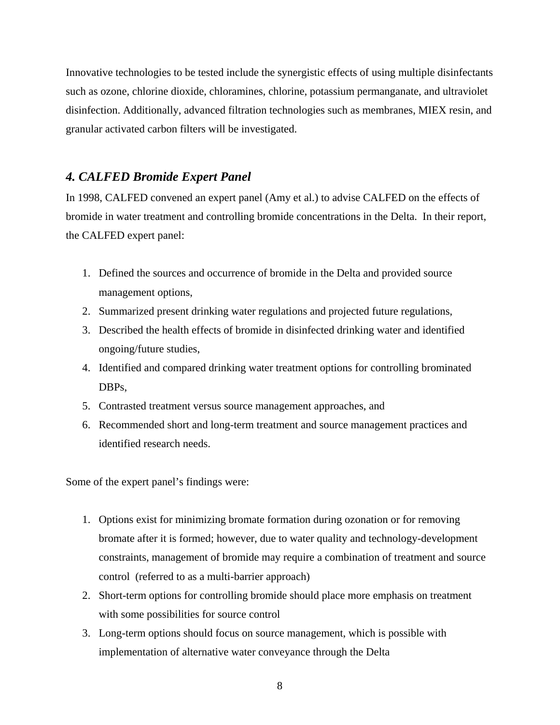Innovative technologies to be tested include the synergistic effects of using multiple disinfectants such as ozone, chlorine dioxide, chloramines, chlorine, potassium permanganate, and ultraviolet disinfection. Additionally, advanced filtration technologies such as membranes, MIEX resin, and granular activated carbon filters will be investigated.

## *4. CALFED Bromide Expert Panel*

In 1998, CALFED convened an expert panel (Amy et al.) to advise CALFED on the effects of bromide in water treatment and controlling bromide concentrations in the Delta. In their report, the CALFED expert panel:

- 1. Defined the sources and occurrence of bromide in the Delta and provided source management options,
- 2. Summarized present drinking water regulations and projected future regulations,
- 3. Described the health effects of bromide in disinfected drinking water and identified ongoing/future studies,
- 4. Identified and compared drinking water treatment options for controlling brominated DBPs,
- 5. Contrasted treatment versus source management approaches, and
- 6. Recommended short and long-term treatment and source management practices and identified research needs.

Some of the expert panel's findings were:

- 1. Options exist for minimizing bromate formation during ozonation or for removing bromate after it is formed; however, due to water quality and technology-development constraints, management of bromide may require a combination of treatment and source control (referred to as a multi-barrier approach)
- 2. Short-term options for controlling bromide should place more emphasis on treatment with some possibilities for source control
- 3. Long-term options should focus on source management, which is possible with implementation of alternative water conveyance through the Delta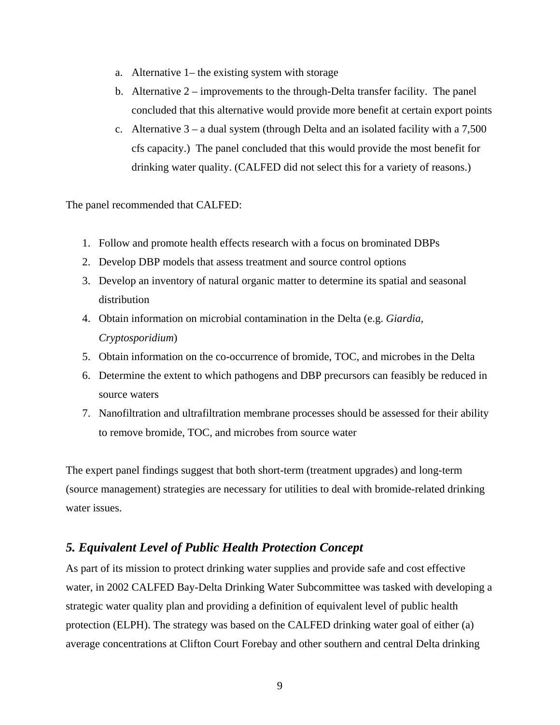- a. Alternative 1– the existing system with storage
- b. Alternative 2 improvements to the through-Delta transfer facility. The panel concluded that this alternative would provide more benefit at certain export points
- c. Alternative  $3 a$  dual system (through Delta and an isolated facility with a 7,500 cfs capacity.) The panel concluded that this would provide the most benefit for drinking water quality. (CALFED did not select this for a variety of reasons.)

The panel recommended that CALFED:

- 1. Follow and promote health effects research with a focus on brominated DBPs
- 2. Develop DBP models that assess treatment and source control options
- 3. Develop an inventory of natural organic matter to determine its spatial and seasonal distribution
- 4. Obtain information on microbial contamination in the Delta (e.g. *Giardia, Cryptosporidium*)
- 5. Obtain information on the co-occurrence of bromide, TOC, and microbes in the Delta
- 6. Determine the extent to which pathogens and DBP precursors can feasibly be reduced in source waters
- 7. Nanofiltration and ultrafiltration membrane processes should be assessed for their ability to remove bromide, TOC, and microbes from source water

The expert panel findings suggest that both short-term (treatment upgrades) and long-term (source management) strategies are necessary for utilities to deal with bromide-related drinking water issues.

## *5. Equivalent Level of Public Health Protection Concept*

As part of its mission to protect drinking water supplies and provide safe and cost effective water, in 2002 CALFED Bay-Delta Drinking Water Subcommittee was tasked with developing a strategic water quality plan and providing a definition of equivalent level of public health protection (ELPH). The strategy was based on the CALFED drinking water goal of either (a) average concentrations at Clifton Court Forebay and other southern and central Delta drinking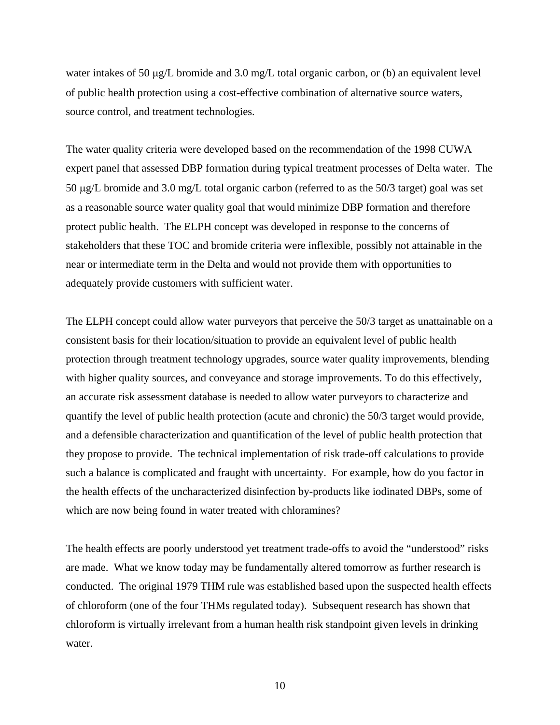water intakes of 50 µg/L bromide and 3.0 mg/L total organic carbon, or (b) an equivalent level of public health protection using a cost-effective combination of alternative source waters, source control, and treatment technologies.

The water quality criteria were developed based on the recommendation of the 1998 CUWA expert panel that assessed DBP formation during typical treatment processes of Delta water. The 50 µg/L bromide and 3.0 mg/L total organic carbon (referred to as the 50/3 target) goal was set as a reasonable source water quality goal that would minimize DBP formation and therefore protect public health. The ELPH concept was developed in response to the concerns of stakeholders that these TOC and bromide criteria were inflexible, possibly not attainable in the near or intermediate term in the Delta and would not provide them with opportunities to adequately provide customers with sufficient water.

The ELPH concept could allow water purveyors that perceive the 50/3 target as unattainable on a consistent basis for their location/situation to provide an equivalent level of public health protection through treatment technology upgrades, source water quality improvements, blending with higher quality sources, and conveyance and storage improvements. To do this effectively, an accurate risk assessment database is needed to allow water purveyors to characterize and quantify the level of public health protection (acute and chronic) the 50/3 target would provide, and a defensible characterization and quantification of the level of public health protection that they propose to provide. The technical implementation of risk trade-off calculations to provide such a balance is complicated and fraught with uncertainty. For example, how do you factor in the health effects of the uncharacterized disinfection by-products like iodinated DBPs, some of which are now being found in water treated with chloramines?

The health effects are poorly understood yet treatment trade-offs to avoid the "understood" risks are made. What we know today may be fundamentally altered tomorrow as further research is conducted. The original 1979 THM rule was established based upon the suspected health effects of chloroform (one of the four THMs regulated today). Subsequent research has shown that chloroform is virtually irrelevant from a human health risk standpoint given levels in drinking water.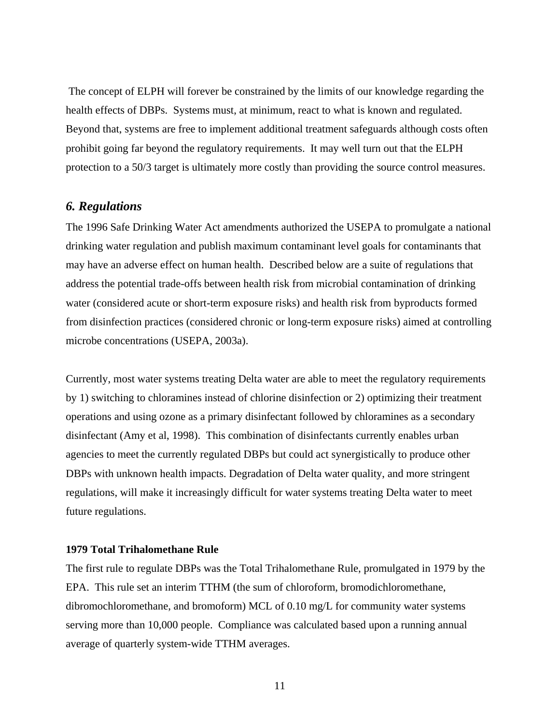The concept of ELPH will forever be constrained by the limits of our knowledge regarding the health effects of DBPs. Systems must, at minimum, react to what is known and regulated. Beyond that, systems are free to implement additional treatment safeguards although costs often prohibit going far beyond the regulatory requirements. It may well turn out that the ELPH protection to a 50/3 target is ultimately more costly than providing the source control measures.

## *6. Regulations*

The 1996 Safe Drinking Water Act amendments authorized the USEPA to promulgate a national drinking water regulation and publish maximum contaminant level goals for contaminants that may have an adverse effect on human health. Described below are a suite of regulations that address the potential trade-offs between health risk from microbial contamination of drinking water (considered acute or short-term exposure risks) and health risk from byproducts formed from disinfection practices (considered chronic or long-term exposure risks) aimed at controlling microbe concentrations (USEPA, 2003a).

Currently, most water systems treating Delta water are able to meet the regulatory requirements by 1) switching to chloramines instead of chlorine disinfection or 2) optimizing their treatment operations and using ozone as a primary disinfectant followed by chloramines as a secondary disinfectant (Amy et al, 1998). This combination of disinfectants currently enables urban agencies to meet the currently regulated DBPs but could act synergistically to produce other DBPs with unknown health impacts. Degradation of Delta water quality, and more stringent regulations, will make it increasingly difficult for water systems treating Delta water to meet future regulations.

#### **1979 Total Trihalomethane Rule**

The first rule to regulate DBPs was the Total Trihalomethane Rule, promulgated in 1979 by the EPA. This rule set an interim TTHM (the sum of chloroform, bromodichloromethane, dibromochloromethane, and bromoform) MCL of 0.10 mg/L for community water systems serving more than 10,000 people. Compliance was calculated based upon a running annual average of quarterly system-wide TTHM averages.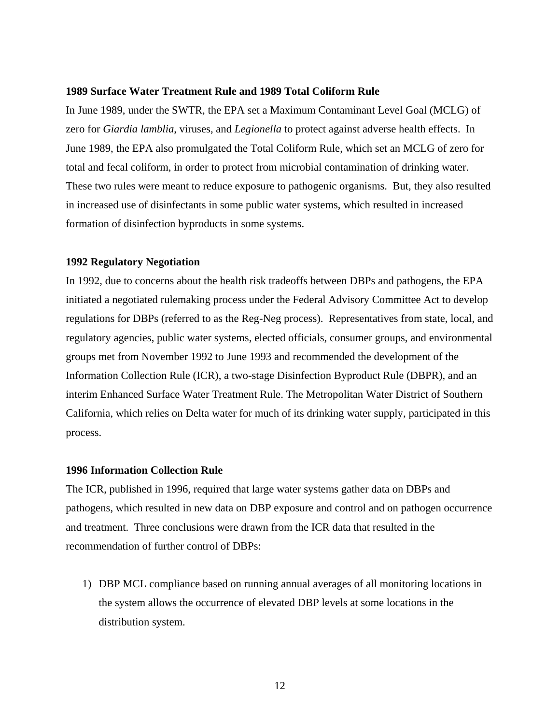#### **1989 Surface Water Treatment Rule and 1989 Total Coliform Rule**

In June 1989, under the SWTR, the EPA set a Maximum Contaminant Level Goal (MCLG) of zero for *Giardia lamblia*, viruses, and *Legionella* to protect against adverse health effects. In June 1989, the EPA also promulgated the Total Coliform Rule, which set an MCLG of zero for total and fecal coliform, in order to protect from microbial contamination of drinking water. These two rules were meant to reduce exposure to pathogenic organisms. But, they also resulted in increased use of disinfectants in some public water systems, which resulted in increased formation of disinfection byproducts in some systems.

#### **1992 Regulatory Negotiation**

In 1992, due to concerns about the health risk tradeoffs between DBPs and pathogens, the EPA initiated a negotiated rulemaking process under the Federal Advisory Committee Act to develop regulations for DBPs (referred to as the Reg-Neg process). Representatives from state, local, and regulatory agencies, public water systems, elected officials, consumer groups, and environmental groups met from November 1992 to June 1993 and recommended the development of the Information Collection Rule (ICR), a two-stage Disinfection Byproduct Rule (DBPR), and an interim Enhanced Surface Water Treatment Rule. The Metropolitan Water District of Southern California, which relies on Delta water for much of its drinking water supply, participated in this process.

### **1996 Information Collection Rule**

The ICR, published in 1996, required that large water systems gather data on DBPs and pathogens, which resulted in new data on DBP exposure and control and on pathogen occurrence and treatment. Three conclusions were drawn from the ICR data that resulted in the recommendation of further control of DBPs:

1) DBP MCL compliance based on running annual averages of all monitoring locations in the system allows the occurrence of elevated DBP levels at some locations in the distribution system.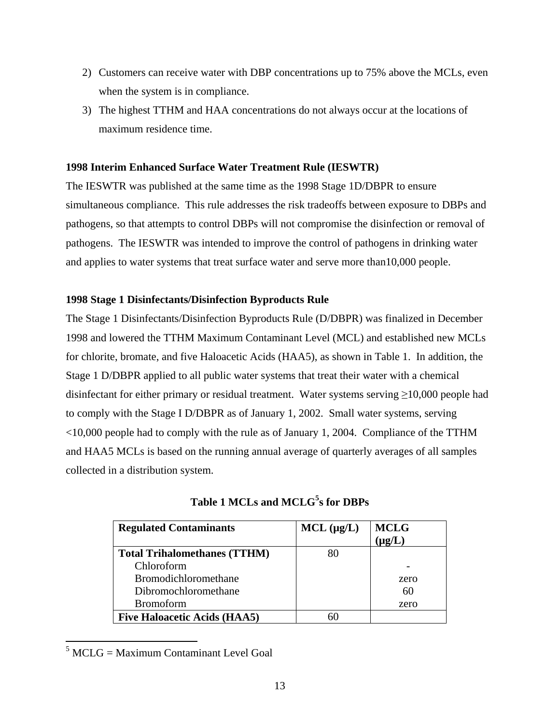- 2) Customers can receive water with DBP concentrations up to 75% above the MCLs, even when the system is in compliance.
- 3) The highest TTHM and HAA concentrations do not always occur at the locations of maximum residence time.

## **1998 Interim Enhanced Surface Water Treatment Rule (IESWTR)**

The IESWTR was published at the same time as the 1998 Stage 1D/DBPR to ensure simultaneous compliance. This rule addresses the risk tradeoffs between exposure to DBPs and pathogens, so that attempts to control DBPs will not compromise the disinfection or removal of pathogens. The IESWTR was intended to improve the control of pathogens in drinking water and applies to water systems that treat surface water and serve more than10,000 people.

## **1998 Stage 1 Disinfectants/Disinfection Byproducts Rule**

The Stage 1 Disinfectants/Disinfection Byproducts Rule (D/DBPR) was finalized in December 1998 and lowered the TTHM Maximum Contaminant Level (MCL) and established new MCLs for chlorite, bromate, and five Haloacetic Acids (HAA5), as shown in Table 1. In addition, the Stage 1 D/DBPR applied to all public water systems that treat their water with a chemical disinfectant for either primary or residual treatment. Water systems serving  $\geq$ 10,000 people had to comply with the Stage I D/DBPR as of January 1, 2002. Small water systems, serving <10,000 people had to comply with the rule as of January 1, 2004. Compliance of the TTHM and HAA5 MCLs is based on the running annual average of quarterly averages of all samples collected in a distribution system.

| <b>Regulated Contaminants</b>       | $MCL$ ( $\mu$ g/L) | <b>MCLG</b><br>$\mu$ g/L) |
|-------------------------------------|--------------------|---------------------------|
| <b>Total Trihalomethanes (TTHM)</b> | 80                 |                           |
| Chloroform                          |                    |                           |
| <b>Bromodichloromethane</b>         |                    | zero                      |
| Dibromochloromethane                |                    | 60                        |
| <b>Bromoform</b>                    |                    | zero                      |
| <b>Five Haloacetic Acids (HAA5)</b> |                    |                           |

**Table 1 MCLs and MCLG[5](#page-12-0) s for DBPs** 

 $\overline{a}$ 

<span id="page-12-0"></span> $<sup>5</sup> MCLG = Maximum Contaminant Level Goal$ </sup>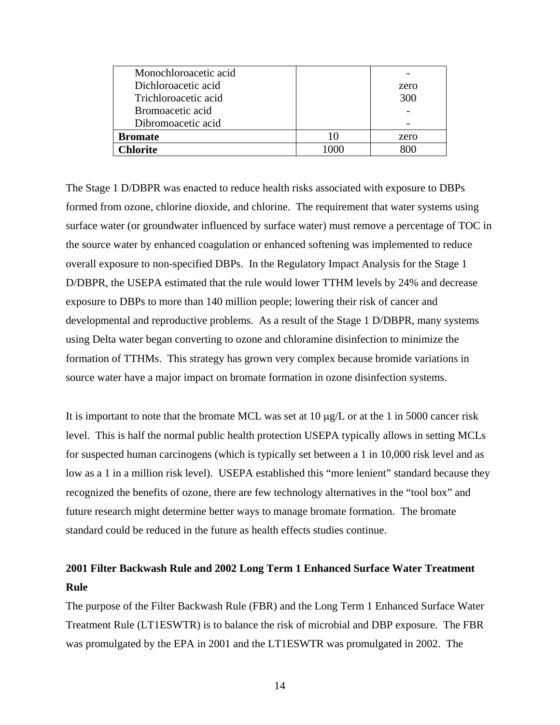| Monochloroacetic acid |      |
|-----------------------|------|
| Dichloroacetic acid   | zero |
| Trichloroacetic acid  | 300  |
| Bromoacetic acid      |      |
| Dibromoacetic acid    |      |
| <b>Bromate</b>        | zero |
| Chlorite              |      |

The Stage 1 D/DBPR was enacted to reduce health risks associated with exposure to DBPs formed from ozone, chlorine dioxide, and chlorine. The requirement that water systems using surface water (or groundwater influenced by surface water) must remove a percentage of TOC in the source water by enhanced coagulation or enhanced softening was implemented to reduce overall exposure to non-specified DBPs. In the Regulatory Impact Analysis for the Stage 1 D/DBPR, the USEPA estimated that the rule would lower TTHM levels by 24% and decrease exposure to DBPs to more than 140 million people; lowering their risk of cancer and developmental and reproductive problems. As a result of the Stage 1 D/DBPR, many systems using Delta water began converting to ozone and chloramine disinfection to minimize the formation of TTHMs. This strategy has grown very complex because bromide variations in source water have a major impact on bromate formation in ozone disinfection systems.

It is important to note that the bromate MCL was set at  $10 \mu g/L$  or at the 1 in 5000 cancer risk level. This is half the normal public health protection USEPA typically allows in setting MCLs for suspected human carcinogens (which is typically set between a 1 in 10,000 risk level and as low as a 1 in a million risk level). USEPA established this "more lenient" standard because they recognized the benefits of ozone, there are few technology alternatives in the "tool box" and future research might determine better ways to manage bromate formation. The bromate standard could be reduced in the future as health effects studies continue.

# **2001 Filter Backwash Rule and 2002 Long Term 1 Enhanced Surface Water Treatment Rule**

The purpose of the Filter Backwash Rule (FBR) and the Long Term 1 Enhanced Surface Water Treatment Rule (LT1ESWTR) is to balance the risk of microbial and DBP exposure. The FBR was promulgated by the EPA in 2001 and the LT1ESWTR was promulgated in 2002. The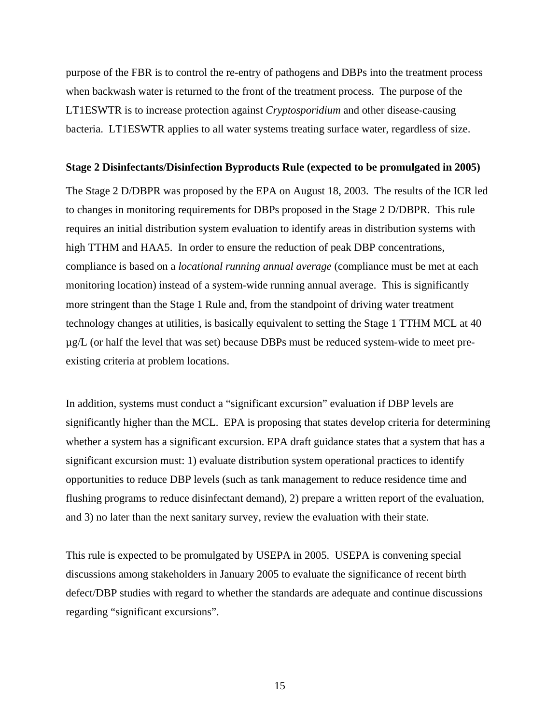purpose of the FBR is to control the re-entry of pathogens and DBPs into the treatment process when backwash water is returned to the front of the treatment process. The purpose of the LT1ESWTR is to increase protection against *Cryptosporidium* and other disease-causing bacteria. LT1ESWTR applies to all water systems treating surface water, regardless of size.

#### **Stage 2 Disinfectants/Disinfection Byproducts Rule (expected to be promulgated in 2005)**

The Stage 2 D/DBPR was proposed by the EPA on August 18, 2003. The results of the ICR led to changes in monitoring requirements for DBPs proposed in the Stage 2 D/DBPR. This rule requires an initial distribution system evaluation to identify areas in distribution systems with high TTHM and HAA5. In order to ensure the reduction of peak DBP concentrations, compliance is based on a *locational running annual average* (compliance must be met at each monitoring location) instead of a system-wide running annual average. This is significantly more stringent than the Stage 1 Rule and, from the standpoint of driving water treatment technology changes at utilities, is basically equivalent to setting the Stage 1 TTHM MCL at 40 µg/L (or half the level that was set) because DBPs must be reduced system-wide to meet preexisting criteria at problem locations.

In addition, systems must conduct a "significant excursion" evaluation if DBP levels are significantly higher than the MCL. EPA is proposing that states develop criteria for determining whether a system has a significant excursion. EPA draft guidance states that a system that has a significant excursion must: 1) evaluate distribution system operational practices to identify opportunities to reduce DBP levels (such as tank management to reduce residence time and flushing programs to reduce disinfectant demand), 2) prepare a written report of the evaluation, and 3) no later than the next sanitary survey, review the evaluation with their state.

This rule is expected to be promulgated by USEPA in 2005. USEPA is convening special discussions among stakeholders in January 2005 to evaluate the significance of recent birth defect/DBP studies with regard to whether the standards are adequate and continue discussions regarding "significant excursions".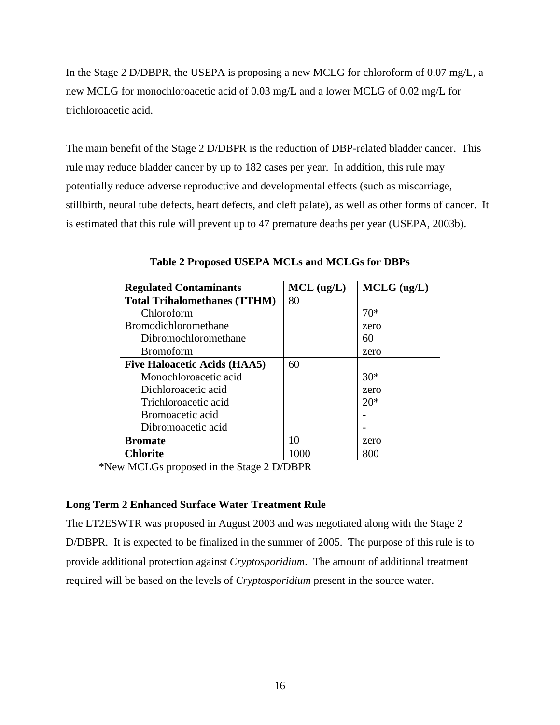In the Stage 2 D/DBPR, the USEPA is proposing a new MCLG for chloroform of 0.07 mg/L, a new MCLG for monochloroacetic acid of 0.03 mg/L and a lower MCLG of 0.02 mg/L for trichloroacetic acid.

The main benefit of the Stage 2 D/DBPR is the reduction of DBP-related bladder cancer. This rule may reduce bladder cancer by up to 182 cases per year. In addition, this rule may potentially reduce adverse reproductive and developmental effects (such as miscarriage, stillbirth, neural tube defects, heart defects, and cleft palate), as well as other forms of cancer. It is estimated that this rule will prevent up to 47 premature deaths per year (USEPA, 2003b).

| <b>Regulated Contaminants</b>       | $MCL$ (ug/L) | $MCLG$ (ug/L) |
|-------------------------------------|--------------|---------------|
| <b>Total Trihalomethanes (TTHM)</b> | 80           |               |
| Chloroform                          |              | $70*$         |
| <b>Bromodichloromethane</b>         |              | zero          |
| Dibromochloromethane                |              | 60            |
| <b>Bromoform</b>                    |              | zero          |
| <b>Five Haloacetic Acids (HAA5)</b> | 60           |               |
| Monochloroacetic acid               |              | $30*$         |
| Dichloroacetic acid                 |              | zero          |
| Trichloroacetic acid                |              | $20*$         |
| Bromoacetic acid                    |              |               |
| Dibromoacetic acid                  |              |               |
| <b>Bromate</b>                      | 10           | zero          |
| <b>Chlorite</b>                     | 1000         | 800           |

**Table 2 Proposed USEPA MCLs and MCLGs for DBPs** 

\*New MCLGs proposed in the Stage 2 D/DBPR

## **Long Term 2 Enhanced Surface Water Treatment Rule**

The LT2ESWTR was proposed in August 2003 and was negotiated along with the Stage 2 D/DBPR. It is expected to be finalized in the summer of 2005. The purpose of this rule is to provide additional protection against *Cryptosporidium*. The amount of additional treatment required will be based on the levels of *Cryptosporidium* present in the source water.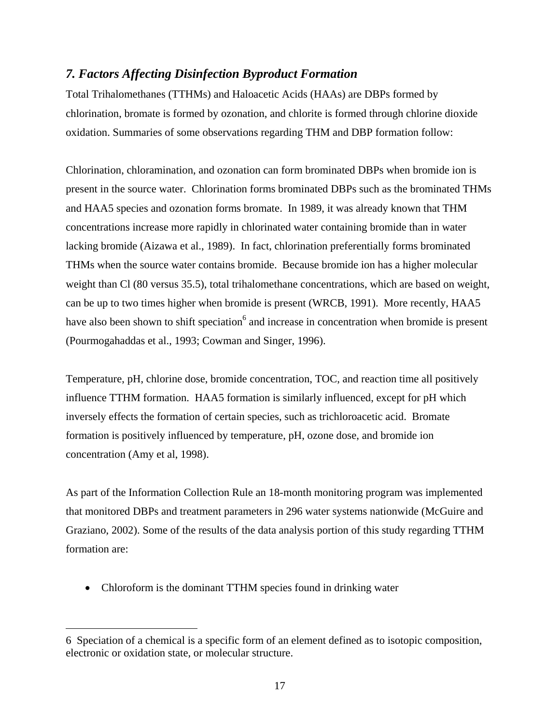## *7. Factors Affecting Disinfection Byproduct Formation*

Total Trihalomethanes (TTHMs) and Haloacetic Acids (HAAs) are DBPs formed by chlorination, bromate is formed by ozonation, and chlorite is formed through chlorine dioxide oxidation. Summaries of some observations regarding THM and DBP formation follow:

Chlorination, chloramination, and ozonation can form brominated DBPs when bromide ion is present in the source water. Chlorination forms brominated DBPs such as the brominated THMs and HAA5 species and ozonation forms bromate. In 1989, it was already known that THM concentrations increase more rapidly in chlorinated water containing bromide than in water lacking bromide (Aizawa et al., 1989). In fact, chlorination preferentially forms brominated THMs when the source water contains bromide. Because bromide ion has a higher molecular weight than Cl (80 versus 35.5), total trihalomethane concentrations, which are based on weight, can be up to two times higher when bromide is present (WRCB, 1991). More recently, HAA5 have also been shown to shift speciation<sup>6</sup> and increase in concentration when bromide is present (Pourmogahaddas et al., 1993; Cowman and Singer, 1996).

Temperature, pH, chlorine dose, bromide concentration, TOC, and reaction time all positively influence TTHM formation. HAA5 formation is similarly influenced, except for pH which inversely effects the formation of certain species, such as trichloroacetic acid. Bromate formation is positively influenced by temperature, pH, ozone dose, and bromide ion concentration (Amy et al, 1998).

As part of the Information Collection Rule an 18-month monitoring program was implemented that monitored DBPs and treatment parameters in 296 water systems nationwide (McGuire and Graziano, 2002). Some of the results of the data analysis portion of this study regarding TTHM formation are:

• Chloroform is the dominant TTHM species found in drinking water

<span id="page-16-0"></span><sup>6</sup> Speciation of a chemical is a specific form of an element defined as to isotopic composition, electronic or oxidation state, or molecular structure.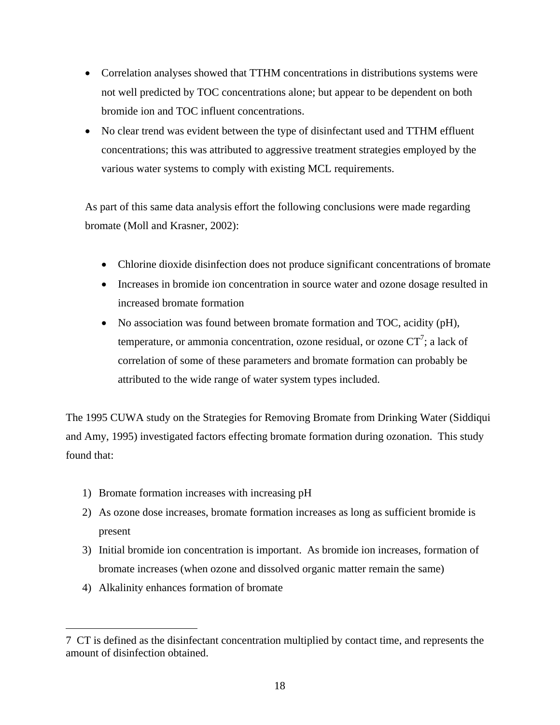- Correlation analyses showed that TTHM concentrations in distributions systems were not well predicted by TOC concentrations alone; but appear to be dependent on both bromide ion and TOC influent concentrations.
- No clear trend was evident between the type of disinfectant used and TTHM effluent concentrations; this was attributed to aggressive treatment strategies employed by the various water systems to comply with existing MCL requirements.

As part of this same data analysis effort the following conclusions were made regarding bromate (Moll and Krasner, 2002):

- Chlorine dioxide disinfection does not produce significant concentrations of bromate
- Increases in bromide ion concentration in source water and ozone dosage resulted in increased bromate formation
- No association was found between bromate formation and TOC, acidity (pH), temperature, or ammonia concentration, ozone residual, or ozone  $CT^7$  $CT^7$ ; a lack of correlation of some of these parameters and bromate formation can probably be attributed to the wide range of water system types included.

The 1995 CUWA study on the Strategies for Removing Bromate from Drinking Water (Siddiqui and Amy, 1995) investigated factors effecting bromate formation during ozonation. This study found that:

- 1) Bromate formation increases with increasing pH
- 2) As ozone dose increases, bromate formation increases as long as sufficient bromide is present
- 3) Initial bromide ion concentration is important. As bromide ion increases, formation of bromate increases (when ozone and dissolved organic matter remain the same)
- 4) Alkalinity enhances formation of bromate

 $\overline{a}$ 

<span id="page-17-0"></span><sup>7</sup> CT is defined as the disinfectant concentration multiplied by contact time, and represents the amount of disinfection obtained.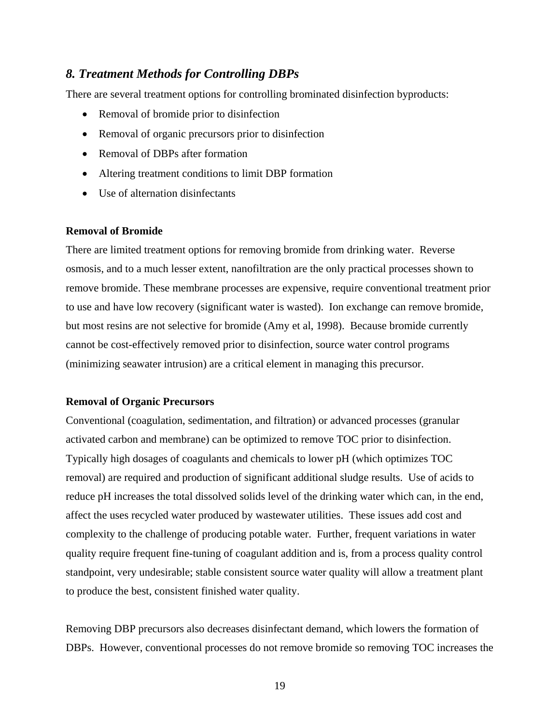## *8. Treatment Methods for Controlling DBPs*

There are several treatment options for controlling brominated disinfection byproducts:

- Removal of bromide prior to disinfection
- Removal of organic precursors prior to disinfection
- Removal of DBPs after formation
- Altering treatment conditions to limit DBP formation
- Use of alternation disinfectants

#### **Removal of Bromide**

There are limited treatment options for removing bromide from drinking water. Reverse osmosis, and to a much lesser extent, nanofiltration are the only practical processes shown to remove bromide. These membrane processes are expensive, require conventional treatment prior to use and have low recovery (significant water is wasted). Ion exchange can remove bromide, but most resins are not selective for bromide (Amy et al, 1998). Because bromide currently cannot be cost-effectively removed prior to disinfection, source water control programs (minimizing seawater intrusion) are a critical element in managing this precursor.

#### **Removal of Organic Precursors**

Conventional (coagulation, sedimentation, and filtration) or advanced processes (granular activated carbon and membrane) can be optimized to remove TOC prior to disinfection. Typically high dosages of coagulants and chemicals to lower pH (which optimizes TOC removal) are required and production of significant additional sludge results. Use of acids to reduce pH increases the total dissolved solids level of the drinking water which can, in the end, affect the uses recycled water produced by wastewater utilities. These issues add cost and complexity to the challenge of producing potable water. Further, frequent variations in water quality require frequent fine-tuning of coagulant addition and is, from a process quality control standpoint, very undesirable; stable consistent source water quality will allow a treatment plant to produce the best, consistent finished water quality.

Removing DBP precursors also decreases disinfectant demand, which lowers the formation of DBPs. However, conventional processes do not remove bromide so removing TOC increases the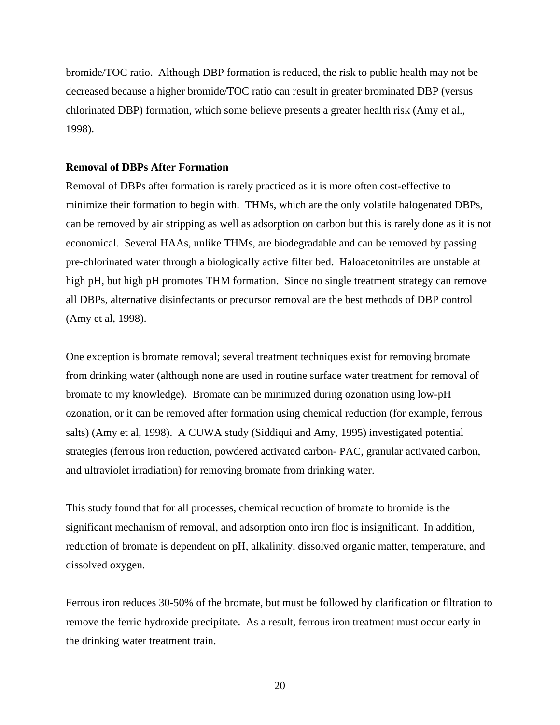bromide/TOC ratio. Although DBP formation is reduced, the risk to public health may not be decreased because a higher bromide/TOC ratio can result in greater brominated DBP (versus chlorinated DBP) formation, which some believe presents a greater health risk (Amy et al., 1998).

#### **Removal of DBPs After Formation**

Removal of DBPs after formation is rarely practiced as it is more often cost-effective to minimize their formation to begin with. THMs, which are the only volatile halogenated DBPs, can be removed by air stripping as well as adsorption on carbon but this is rarely done as it is not economical. Several HAAs, unlike THMs, are biodegradable and can be removed by passing pre-chlorinated water through a biologically active filter bed. Haloacetonitriles are unstable at high pH, but high pH promotes THM formation. Since no single treatment strategy can remove all DBPs, alternative disinfectants or precursor removal are the best methods of DBP control (Amy et al, 1998).

One exception is bromate removal; several treatment techniques exist for removing bromate from drinking water (although none are used in routine surface water treatment for removal of bromate to my knowledge). Bromate can be minimized during ozonation using low-pH ozonation, or it can be removed after formation using chemical reduction (for example, ferrous salts) (Amy et al, 1998). A CUWA study (Siddiqui and Amy, 1995) investigated potential strategies (ferrous iron reduction, powdered activated carbon- PAC, granular activated carbon, and ultraviolet irradiation) for removing bromate from drinking water.

This study found that for all processes, chemical reduction of bromate to bromide is the significant mechanism of removal, and adsorption onto iron floc is insignificant. In addition, reduction of bromate is dependent on pH, alkalinity, dissolved organic matter, temperature, and dissolved oxygen.

Ferrous iron reduces 30-50% of the bromate, but must be followed by clarification or filtration to remove the ferric hydroxide precipitate. As a result, ferrous iron treatment must occur early in the drinking water treatment train.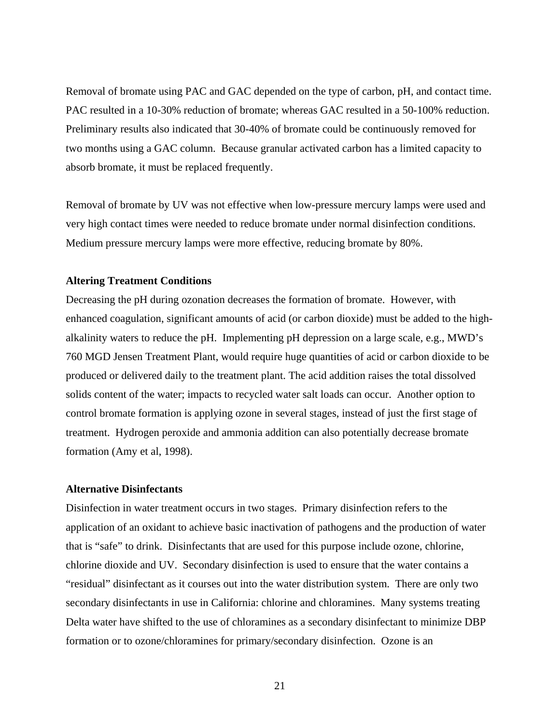Removal of bromate using PAC and GAC depended on the type of carbon, pH, and contact time. PAC resulted in a 10-30% reduction of bromate; whereas GAC resulted in a 50-100% reduction. Preliminary results also indicated that 30-40% of bromate could be continuously removed for two months using a GAC column. Because granular activated carbon has a limited capacity to absorb bromate, it must be replaced frequently.

Removal of bromate by UV was not effective when low-pressure mercury lamps were used and very high contact times were needed to reduce bromate under normal disinfection conditions. Medium pressure mercury lamps were more effective, reducing bromate by 80%.

#### **Altering Treatment Conditions**

Decreasing the pH during ozonation decreases the formation of bromate. However, with enhanced coagulation, significant amounts of acid (or carbon dioxide) must be added to the highalkalinity waters to reduce the pH. Implementing pH depression on a large scale, e.g., MWD's 760 MGD Jensen Treatment Plant, would require huge quantities of acid or carbon dioxide to be produced or delivered daily to the treatment plant. The acid addition raises the total dissolved solids content of the water; impacts to recycled water salt loads can occur. Another option to control bromate formation is applying ozone in several stages, instead of just the first stage of treatment. Hydrogen peroxide and ammonia addition can also potentially decrease bromate formation (Amy et al, 1998).

## **Alternative Disinfectants**

Disinfection in water treatment occurs in two stages. Primary disinfection refers to the application of an oxidant to achieve basic inactivation of pathogens and the production of water that is "safe" to drink. Disinfectants that are used for this purpose include ozone, chlorine, chlorine dioxide and UV. Secondary disinfection is used to ensure that the water contains a "residual" disinfectant as it courses out into the water distribution system. There are only two secondary disinfectants in use in California: chlorine and chloramines. Many systems treating Delta water have shifted to the use of chloramines as a secondary disinfectant to minimize DBP formation or to ozone/chloramines for primary/secondary disinfection. Ozone is an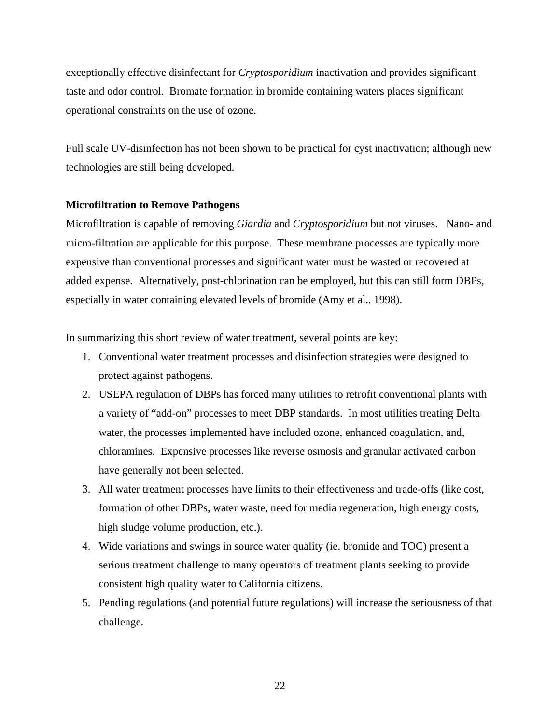exceptionally effective disinfectant for *Cryptosporidium* inactivation and provides significant taste and odor control. Bromate formation in bromide containing waters places significant operational constraints on the use of ozone.

Full scale UV-disinfection has not been shown to be practical for cyst inactivation; although new technologies are still being developed.

#### **Microfiltration to Remove Pathogens**

Microfiltration is capable of removing *Giardia* and *Cryptosporidium* but not viruses. Nano- and micro-filtration are applicable for this purpose. These membrane processes are typically more expensive than conventional processes and significant water must be wasted or recovered at added expense. Alternatively, post-chlorination can be employed, but this can still form DBPs, especially in water containing elevated levels of bromide (Amy et al., 1998).

In summarizing this short review of water treatment, several points are key:

- 1. Conventional water treatment processes and disinfection strategies were designed to protect against pathogens.
- 2. USEPA regulation of DBPs has forced many utilities to retrofit conventional plants with a variety of "add-on" processes to meet DBP standards. In most utilities treating Delta water, the processes implemented have included ozone, enhanced coagulation, and, chloramines. Expensive processes like reverse osmosis and granular activated carbon have generally not been selected.
- 3. All water treatment processes have limits to their effectiveness and trade-offs (like cost, formation of other DBPs, water waste, need for media regeneration, high energy costs, high sludge volume production, etc.).
- 4. Wide variations and swings in source water quality (ie. bromide and TOC) present a serious treatment challenge to many operators of treatment plants seeking to provide consistent high quality water to California citizens.
- 5. Pending regulations (and potential future regulations) will increase the seriousness of that challenge.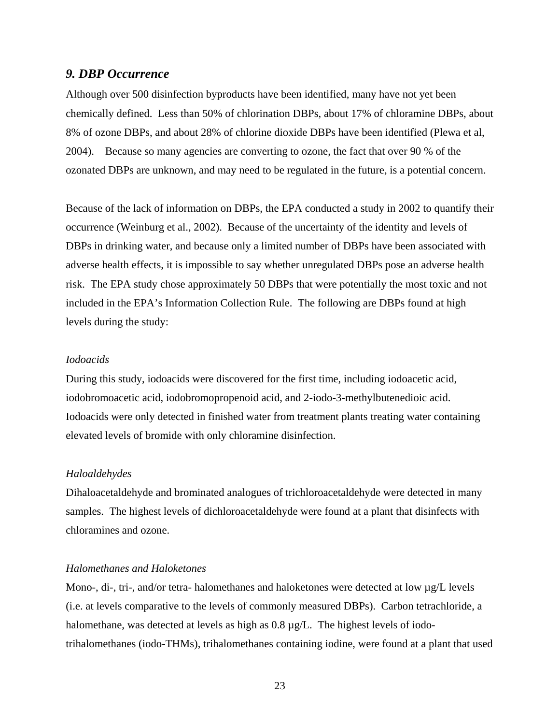### *9. DBP Occurrence*

Although over 500 disinfection byproducts have been identified, many have not yet been chemically defined. Less than 50% of chlorination DBPs, about 17% of chloramine DBPs, about 8% of ozone DBPs, and about 28% of chlorine dioxide DBPs have been identified (Plewa et al, 2004). Because so many agencies are converting to ozone, the fact that over 90 % of the ozonated DBPs are unknown, and may need to be regulated in the future, is a potential concern.

Because of the lack of information on DBPs, the EPA conducted a study in 2002 to quantify their occurrence (Weinburg et al., 2002). Because of the uncertainty of the identity and levels of DBPs in drinking water, and because only a limited number of DBPs have been associated with adverse health effects, it is impossible to say whether unregulated DBPs pose an adverse health risk. The EPA study chose approximately 50 DBPs that were potentially the most toxic and not included in the EPA's Information Collection Rule. The following are DBPs found at high levels during the study:

### *Iodoacids*

During this study, iodoacids were discovered for the first time, including iodoacetic acid, iodobromoacetic acid, iodobromopropenoid acid, and 2-iodo-3-methylbutenedioic acid. Iodoacids were only detected in finished water from treatment plants treating water containing elevated levels of bromide with only chloramine disinfection.

### *Haloaldehydes*

Dihaloacetaldehyde and brominated analogues of trichloroacetaldehyde were detected in many samples. The highest levels of dichloroacetaldehyde were found at a plant that disinfects with chloramines and ozone.

#### *Halomethanes and Haloketones*

Mono-, di-, tri-, and/or tetra- halomethanes and haloketones were detected at low  $\mu$ g/L levels (i.e. at levels comparative to the levels of commonly measured DBPs). Carbon tetrachloride, a halomethane, was detected at levels as high as 0.8  $\mu$ g/L. The highest levels of iodotrihalomethanes (iodo-THMs), trihalomethanes containing iodine, were found at a plant that used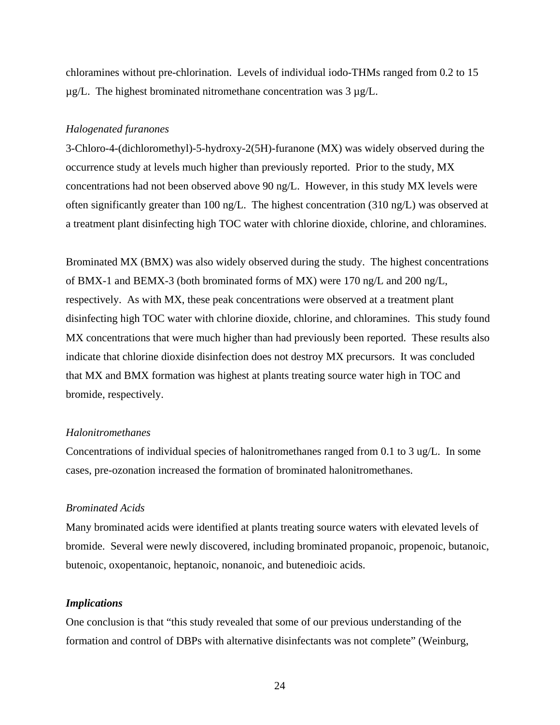chloramines without pre-chlorination. Levels of individual iodo-THMs ranged from 0.2 to 15  $\mu$ g/L. The highest brominated nitromethane concentration was 3  $\mu$ g/L.

#### *Halogenated furanones*

3-Chloro-4-(dichloromethyl)-5-hydroxy-2(5H)-furanone (MX) was widely observed during the occurrence study at levels much higher than previously reported. Prior to the study, MX concentrations had not been observed above 90 ng/L. However, in this study MX levels were often significantly greater than 100 ng/L. The highest concentration (310 ng/L) was observed at a treatment plant disinfecting high TOC water with chlorine dioxide, chlorine, and chloramines.

Brominated MX (BMX) was also widely observed during the study. The highest concentrations of BMX-1 and BEMX-3 (both brominated forms of MX) were 170 ng/L and 200 ng/L, respectively. As with MX, these peak concentrations were observed at a treatment plant disinfecting high TOC water with chlorine dioxide, chlorine, and chloramines. This study found MX concentrations that were much higher than had previously been reported. These results also indicate that chlorine dioxide disinfection does not destroy MX precursors. It was concluded that MX and BMX formation was highest at plants treating source water high in TOC and bromide, respectively.

#### *Halonitromethanes*

Concentrations of individual species of halonitromethanes ranged from 0.1 to 3 ug/L. In some cases, pre-ozonation increased the formation of brominated halonitromethanes.

## *Brominated Acids*

Many brominated acids were identified at plants treating source waters with elevated levels of bromide. Several were newly discovered, including brominated propanoic, propenoic, butanoic, butenoic, oxopentanoic, heptanoic, nonanoic, and butenedioic acids.

#### *Implications*

One conclusion is that "this study revealed that some of our previous understanding of the formation and control of DBPs with alternative disinfectants was not complete" (Weinburg,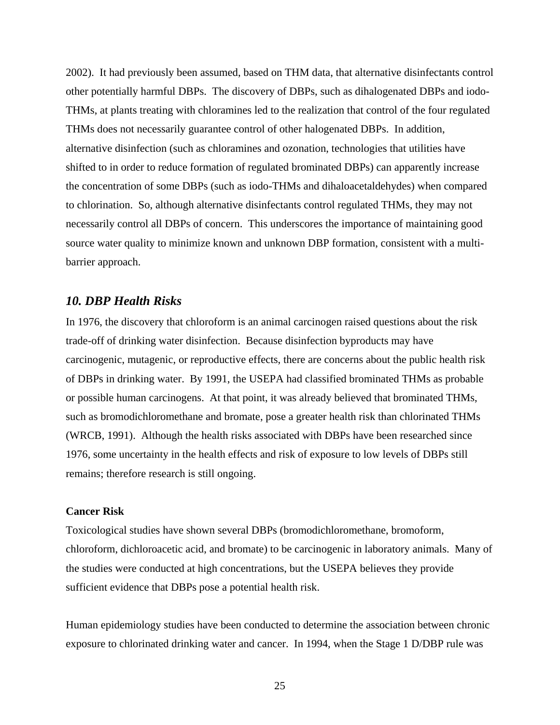2002). It had previously been assumed, based on THM data, that alternative disinfectants control other potentially harmful DBPs. The discovery of DBPs, such as dihalogenated DBPs and iodo-THMs, at plants treating with chloramines led to the realization that control of the four regulated THMs does not necessarily guarantee control of other halogenated DBPs. In addition, alternative disinfection (such as chloramines and ozonation, technologies that utilities have shifted to in order to reduce formation of regulated brominated DBPs) can apparently increase the concentration of some DBPs (such as iodo-THMs and dihaloacetaldehydes) when compared to chlorination. So, although alternative disinfectants control regulated THMs, they may not necessarily control all DBPs of concern. This underscores the importance of maintaining good source water quality to minimize known and unknown DBP formation, consistent with a multibarrier approach.

## *10. DBP Health Risks*

In 1976, the discovery that chloroform is an animal carcinogen raised questions about the risk trade-off of drinking water disinfection. Because disinfection byproducts may have carcinogenic, mutagenic, or reproductive effects, there are concerns about the public health risk of DBPs in drinking water. By 1991, the USEPA had classified brominated THMs as probable or possible human carcinogens. At that point, it was already believed that brominated THMs, such as bromodichloromethane and bromate, pose a greater health risk than chlorinated THMs (WRCB, 1991). Although the health risks associated with DBPs have been researched since 1976, some uncertainty in the health effects and risk of exposure to low levels of DBPs still remains; therefore research is still ongoing.

### **Cancer Risk**

Toxicological studies have shown several DBPs (bromodichloromethane, bromoform, chloroform, dichloroacetic acid, and bromate) to be carcinogenic in laboratory animals. Many of the studies were conducted at high concentrations, but the USEPA believes they provide sufficient evidence that DBPs pose a potential health risk.

Human epidemiology studies have been conducted to determine the association between chronic exposure to chlorinated drinking water and cancer. In 1994, when the Stage 1 D/DBP rule was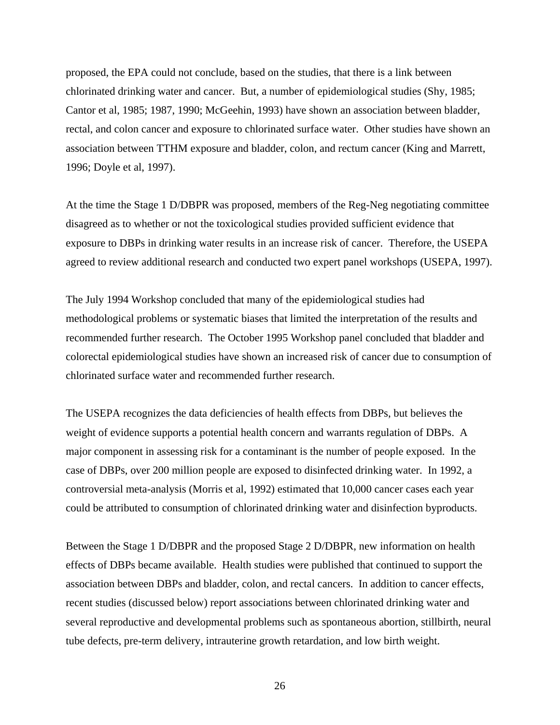proposed, the EPA could not conclude, based on the studies, that there is a link between chlorinated drinking water and cancer. But, a number of epidemiological studies (Shy, 1985; Cantor et al, 1985; 1987, 1990; McGeehin, 1993) have shown an association between bladder, rectal, and colon cancer and exposure to chlorinated surface water. Other studies have shown an association between TTHM exposure and bladder, colon, and rectum cancer (King and Marrett, 1996; Doyle et al, 1997).

At the time the Stage 1 D/DBPR was proposed, members of the Reg-Neg negotiating committee disagreed as to whether or not the toxicological studies provided sufficient evidence that exposure to DBPs in drinking water results in an increase risk of cancer. Therefore, the USEPA agreed to review additional research and conducted two expert panel workshops (USEPA, 1997).

The July 1994 Workshop concluded that many of the epidemiological studies had methodological problems or systematic biases that limited the interpretation of the results and recommended further research. The October 1995 Workshop panel concluded that bladder and colorectal epidemiological studies have shown an increased risk of cancer due to consumption of chlorinated surface water and recommended further research.

The USEPA recognizes the data deficiencies of health effects from DBPs, but believes the weight of evidence supports a potential health concern and warrants regulation of DBPs. A major component in assessing risk for a contaminant is the number of people exposed. In the case of DBPs, over 200 million people are exposed to disinfected drinking water. In 1992, a controversial meta-analysis (Morris et al, 1992) estimated that 10,000 cancer cases each year could be attributed to consumption of chlorinated drinking water and disinfection byproducts.

Between the Stage 1 D/DBPR and the proposed Stage 2 D/DBPR, new information on health effects of DBPs became available. Health studies were published that continued to support the association between DBPs and bladder, colon, and rectal cancers. In addition to cancer effects, recent studies (discussed below) report associations between chlorinated drinking water and several reproductive and developmental problems such as spontaneous abortion, stillbirth, neural tube defects, pre-term delivery, intrauterine growth retardation, and low birth weight.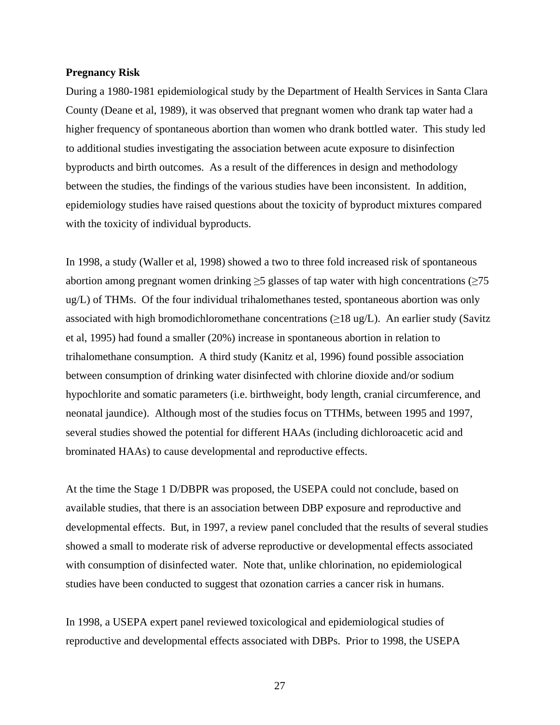#### **Pregnancy Risk**

During a 1980-1981 epidemiological study by the Department of Health Services in Santa Clara County (Deane et al, 1989), it was observed that pregnant women who drank tap water had a higher frequency of spontaneous abortion than women who drank bottled water. This study led to additional studies investigating the association between acute exposure to disinfection byproducts and birth outcomes. As a result of the differences in design and methodology between the studies, the findings of the various studies have been inconsistent. In addition, epidemiology studies have raised questions about the toxicity of byproduct mixtures compared with the toxicity of individual byproducts.

In 1998, a study (Waller et al, 1998) showed a two to three fold increased risk of spontaneous abortion among pregnant women drinking  $\geq 5$  glasses of tap water with high concentrations ( $\geq 75$ ) ug/L) of THMs. Of the four individual trihalomethanes tested, spontaneous abortion was only associated with high bromodichloromethane concentrations ( $\geq$ 18 ug/L). An earlier study (Savitz et al, 1995) had found a smaller (20%) increase in spontaneous abortion in relation to trihalomethane consumption. A third study (Kanitz et al, 1996) found possible association between consumption of drinking water disinfected with chlorine dioxide and/or sodium hypochlorite and somatic parameters (i.e. birthweight, body length, cranial circumference, and neonatal jaundice). Although most of the studies focus on TTHMs, between 1995 and 1997, several studies showed the potential for different HAAs (including dichloroacetic acid and brominated HAAs) to cause developmental and reproductive effects.

At the time the Stage 1 D/DBPR was proposed, the USEPA could not conclude, based on available studies, that there is an association between DBP exposure and reproductive and developmental effects. But, in 1997, a review panel concluded that the results of several studies showed a small to moderate risk of adverse reproductive or developmental effects associated with consumption of disinfected water. Note that, unlike chlorination, no epidemiological studies have been conducted to suggest that ozonation carries a cancer risk in humans.

In 1998, a USEPA expert panel reviewed toxicological and epidemiological studies of reproductive and developmental effects associated with DBPs. Prior to 1998, the USEPA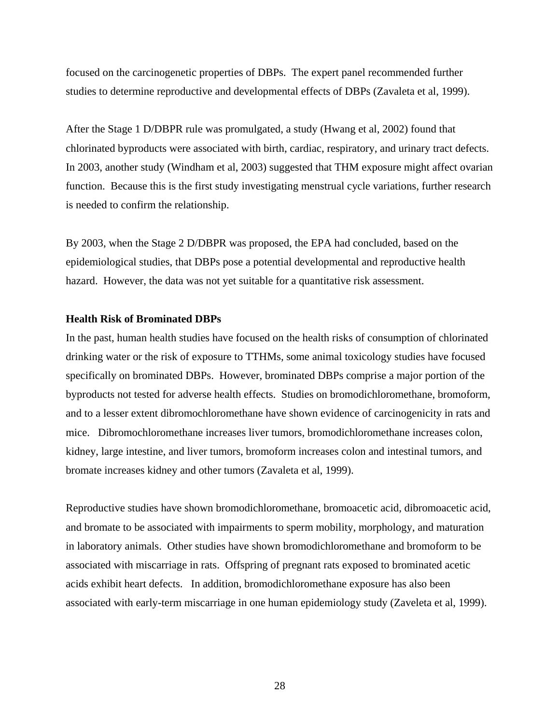focused on the carcinogenetic properties of DBPs. The expert panel recommended further studies to determine reproductive and developmental effects of DBPs (Zavaleta et al, 1999).

After the Stage 1 D/DBPR rule was promulgated, a study (Hwang et al, 2002) found that chlorinated byproducts were associated with birth, cardiac, respiratory, and urinary tract defects. In 2003, another study (Windham et al, 2003) suggested that THM exposure might affect ovarian function. Because this is the first study investigating menstrual cycle variations, further research is needed to confirm the relationship.

By 2003, when the Stage 2 D/DBPR was proposed, the EPA had concluded, based on the epidemiological studies, that DBPs pose a potential developmental and reproductive health hazard. However, the data was not yet suitable for a quantitative risk assessment.

### **Health Risk of Brominated DBPs**

In the past, human health studies have focused on the health risks of consumption of chlorinated drinking water or the risk of exposure to TTHMs, some animal toxicology studies have focused specifically on brominated DBPs. However, brominated DBPs comprise a major portion of the byproducts not tested for adverse health effects. Studies on bromodichloromethane, bromoform, and to a lesser extent dibromochloromethane have shown evidence of carcinogenicity in rats and mice. Dibromochloromethane increases liver tumors, bromodichloromethane increases colon, kidney, large intestine, and liver tumors, bromoform increases colon and intestinal tumors, and bromate increases kidney and other tumors (Zavaleta et al, 1999).

Reproductive studies have shown bromodichloromethane, bromoacetic acid, dibromoacetic acid, and bromate to be associated with impairments to sperm mobility, morphology, and maturation in laboratory animals. Other studies have shown bromodichloromethane and bromoform to be associated with miscarriage in rats. Offspring of pregnant rats exposed to brominated acetic acids exhibit heart defects. In addition, bromodichloromethane exposure has also been associated with early-term miscarriage in one human epidemiology study (Zaveleta et al, 1999).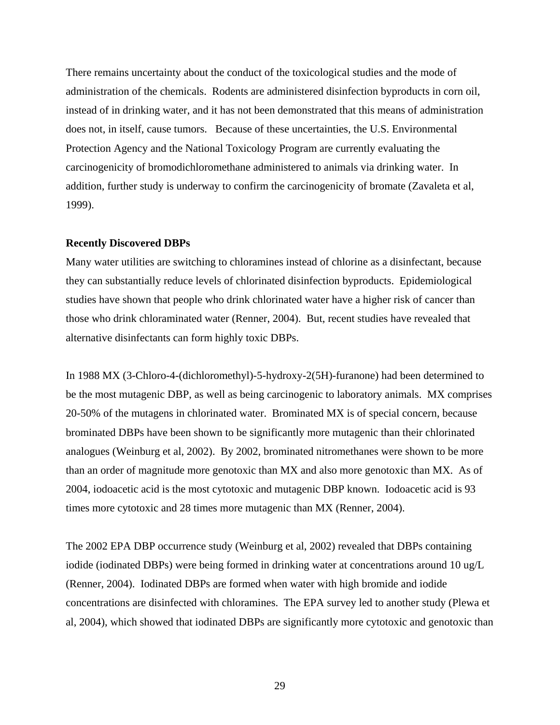There remains uncertainty about the conduct of the toxicological studies and the mode of administration of the chemicals. Rodents are administered disinfection byproducts in corn oil, instead of in drinking water, and it has not been demonstrated that this means of administration does not, in itself, cause tumors. Because of these uncertainties, the U.S. Environmental Protection Agency and the National Toxicology Program are currently evaluating the carcinogenicity of bromodichloromethane administered to animals via drinking water. In addition, further study is underway to confirm the carcinogenicity of bromate (Zavaleta et al, 1999).

#### **Recently Discovered DBPs**

Many water utilities are switching to chloramines instead of chlorine as a disinfectant, because they can substantially reduce levels of chlorinated disinfection byproducts. Epidemiological studies have shown that people who drink chlorinated water have a higher risk of cancer than those who drink chloraminated water (Renner, 2004). But, recent studies have revealed that alternative disinfectants can form highly toxic DBPs.

In 1988 MX (3-Chloro-4-(dichloromethyl)-5-hydroxy-2(5H)-furanone) had been determined to be the most mutagenic DBP, as well as being carcinogenic to laboratory animals. MX comprises 20-50% of the mutagens in chlorinated water. Brominated MX is of special concern, because brominated DBPs have been shown to be significantly more mutagenic than their chlorinated analogues (Weinburg et al, 2002). By 2002, brominated nitromethanes were shown to be more than an order of magnitude more genotoxic than MX and also more genotoxic than MX. As of 2004, iodoacetic acid is the most cytotoxic and mutagenic DBP known. Iodoacetic acid is 93 times more cytotoxic and 28 times more mutagenic than MX (Renner, 2004).

The 2002 EPA DBP occurrence study (Weinburg et al, 2002) revealed that DBPs containing iodide (iodinated DBPs) were being formed in drinking water at concentrations around 10 ug/L (Renner, 2004). Iodinated DBPs are formed when water with high bromide and iodide concentrations are disinfected with chloramines. The EPA survey led to another study (Plewa et al, 2004), which showed that iodinated DBPs are significantly more cytotoxic and genotoxic than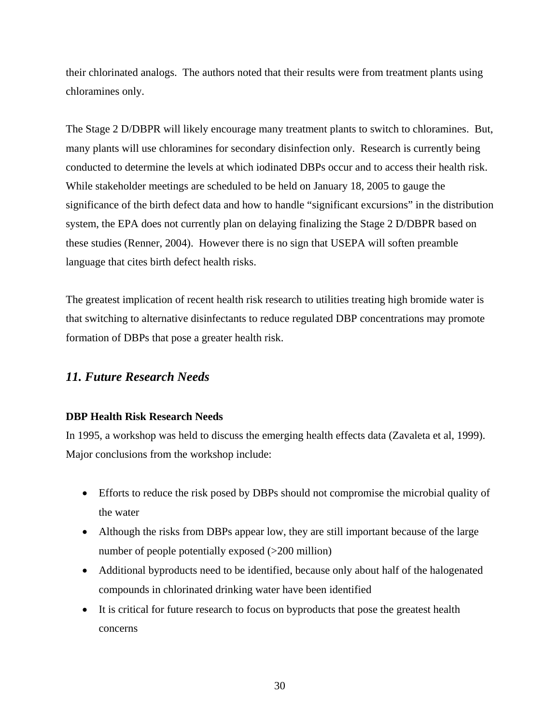their chlorinated analogs. The authors noted that their results were from treatment plants using chloramines only.

The Stage 2 D/DBPR will likely encourage many treatment plants to switch to chloramines. But, many plants will use chloramines for secondary disinfection only. Research is currently being conducted to determine the levels at which iodinated DBPs occur and to access their health risk. While stakeholder meetings are scheduled to be held on January 18, 2005 to gauge the significance of the birth defect data and how to handle "significant excursions" in the distribution system, the EPA does not currently plan on delaying finalizing the Stage 2 D/DBPR based on these studies (Renner, 2004). However there is no sign that USEPA will soften preamble language that cites birth defect health risks.

The greatest implication of recent health risk research to utilities treating high bromide water is that switching to alternative disinfectants to reduce regulated DBP concentrations may promote formation of DBPs that pose a greater health risk.

## *11. Future Research Needs*

## **DBP Health Risk Research Needs**

In 1995, a workshop was held to discuss the emerging health effects data (Zavaleta et al, 1999). Major conclusions from the workshop include:

- Efforts to reduce the risk posed by DBPs should not compromise the microbial quality of the water
- Although the risks from DBPs appear low, they are still important because of the large number of people potentially exposed (>200 million)
- Additional byproducts need to be identified, because only about half of the halogenated compounds in chlorinated drinking water have been identified
- It is critical for future research to focus on byproducts that pose the greatest health concerns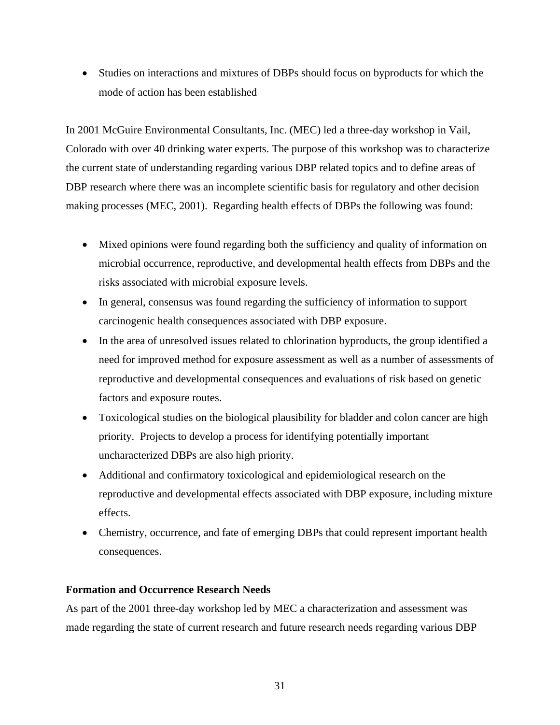• Studies on interactions and mixtures of DBPs should focus on byproducts for which the mode of action has been established

In 2001 McGuire Environmental Consultants, Inc. (MEC) led a three-day workshop in Vail, Colorado with over 40 drinking water experts. The purpose of this workshop was to characterize the current state of understanding regarding various DBP related topics and to define areas of DBP research where there was an incomplete scientific basis for regulatory and other decision making processes (MEC, 2001). Regarding health effects of DBPs the following was found:

- Mixed opinions were found regarding both the sufficiency and quality of information on microbial occurrence, reproductive, and developmental health effects from DBPs and the risks associated with microbial exposure levels.
- In general, consensus was found regarding the sufficiency of information to support carcinogenic health consequences associated with DBP exposure.
- In the area of unresolved issues related to chlorination byproducts, the group identified a need for improved method for exposure assessment as well as a number of assessments of reproductive and developmental consequences and evaluations of risk based on genetic factors and exposure routes.
- Toxicological studies on the biological plausibility for bladder and colon cancer are high priority. Projects to develop a process for identifying potentially important uncharacterized DBPs are also high priority.
- Additional and confirmatory toxicological and epidemiological research on the reproductive and developmental effects associated with DBP exposure, including mixture effects.
- Chemistry, occurrence, and fate of emerging DBPs that could represent important health consequences.

## **Formation and Occurrence Research Needs**

As part of the 2001 three-day workshop led by MEC a characterization and assessment was made regarding the state of current research and future research needs regarding various DBP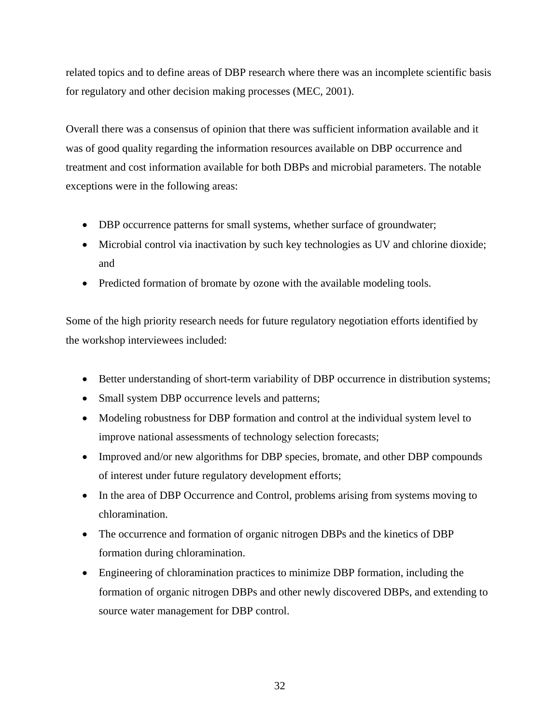related topics and to define areas of DBP research where there was an incomplete scientific basis for regulatory and other decision making processes (MEC, 2001).

Overall there was a consensus of opinion that there was sufficient information available and it was of good quality regarding the information resources available on DBP occurrence and treatment and cost information available for both DBPs and microbial parameters. The notable exceptions were in the following areas:

- DBP occurrence patterns for small systems, whether surface of groundwater;
- Microbial control via inactivation by such key technologies as UV and chlorine dioxide; and
- Predicted formation of bromate by ozone with the available modeling tools.

Some of the high priority research needs for future regulatory negotiation efforts identified by the workshop interviewees included:

- Better understanding of short-term variability of DBP occurrence in distribution systems;
- Small system DBP occurrence levels and patterns;
- Modeling robustness for DBP formation and control at the individual system level to improve national assessments of technology selection forecasts;
- Improved and/or new algorithms for DBP species, bromate, and other DBP compounds of interest under future regulatory development efforts;
- In the area of DBP Occurrence and Control, problems arising from systems moving to chloramination.
- The occurrence and formation of organic nitrogen DBPs and the kinetics of DBP formation during chloramination.
- Engineering of chloramination practices to minimize DBP formation, including the formation of organic nitrogen DBPs and other newly discovered DBPs, and extending to source water management for DBP control.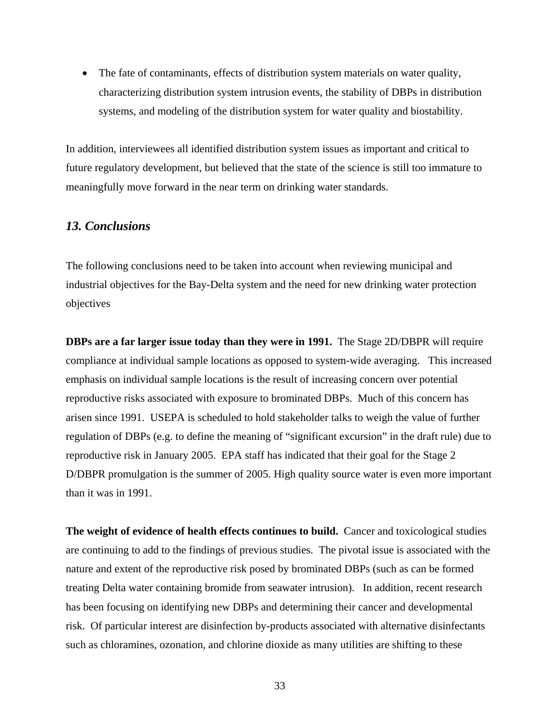• The fate of contaminants, effects of distribution system materials on water quality, characterizing distribution system intrusion events, the stability of DBPs in distribution systems, and modeling of the distribution system for water quality and biostability.

In addition, interviewees all identified distribution system issues as important and critical to future regulatory development, but believed that the state of the science is still too immature to meaningfully move forward in the near term on drinking water standards.

## *13. Conclusions*

The following conclusions need to be taken into account when reviewing municipal and industrial objectives for the Bay-Delta system and the need for new drinking water protection objectives

**DBPs are a far larger issue today than they were in 1991.** The Stage 2D/DBPR will require compliance at individual sample locations as opposed to system-wide averaging. This increased emphasis on individual sample locations is the result of increasing concern over potential reproductive risks associated with exposure to brominated DBPs. Much of this concern has arisen since 1991. USEPA is scheduled to hold stakeholder talks to weigh the value of further regulation of DBPs (e.g. to define the meaning of "significant excursion" in the draft rule) due to reproductive risk in January 2005. EPA staff has indicated that their goal for the Stage 2 D/DBPR promulgation is the summer of 2005. High quality source water is even more important than it was in 1991.

**The weight of evidence of health effects continues to build.** Cancer and toxicological studies are continuing to add to the findings of previous studies. The pivotal issue is associated with the nature and extent of the reproductive risk posed by brominated DBPs (such as can be formed treating Delta water containing bromide from seawater intrusion). In addition, recent research has been focusing on identifying new DBPs and determining their cancer and developmental risk. Of particular interest are disinfection by-products associated with alternative disinfectants such as chloramines, ozonation, and chlorine dioxide as many utilities are shifting to these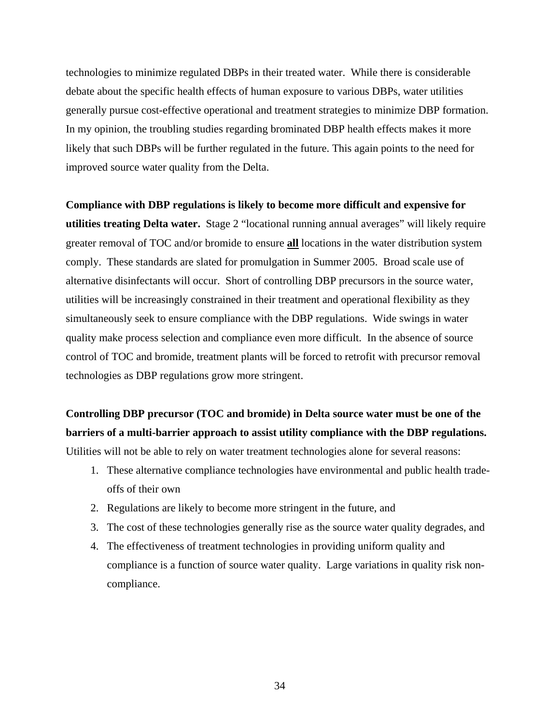technologies to minimize regulated DBPs in their treated water. While there is considerable debate about the specific health effects of human exposure to various DBPs, water utilities generally pursue cost-effective operational and treatment strategies to minimize DBP formation. In my opinion, the troubling studies regarding brominated DBP health effects makes it more likely that such DBPs will be further regulated in the future. This again points to the need for improved source water quality from the Delta.

**Compliance with DBP regulations is likely to become more difficult and expensive for utilities treating Delta water.** Stage 2 "locational running annual averages" will likely require greater removal of TOC and/or bromide to ensure **all** locations in the water distribution system comply. These standards are slated for promulgation in Summer 2005. Broad scale use of alternative disinfectants will occur. Short of controlling DBP precursors in the source water, utilities will be increasingly constrained in their treatment and operational flexibility as they simultaneously seek to ensure compliance with the DBP regulations. Wide swings in water quality make process selection and compliance even more difficult. In the absence of source control of TOC and bromide, treatment plants will be forced to retrofit with precursor removal technologies as DBP regulations grow more stringent.

**Controlling DBP precursor (TOC and bromide) in Delta source water must be one of the barriers of a multi-barrier approach to assist utility compliance with the DBP regulations.** 

Utilities will not be able to rely on water treatment technologies alone for several reasons:

- 1. These alternative compliance technologies have environmental and public health tradeoffs of their own
- 2. Regulations are likely to become more stringent in the future, and
- 3. The cost of these technologies generally rise as the source water quality degrades, and
- 4. The effectiveness of treatment technologies in providing uniform quality and compliance is a function of source water quality. Large variations in quality risk noncompliance.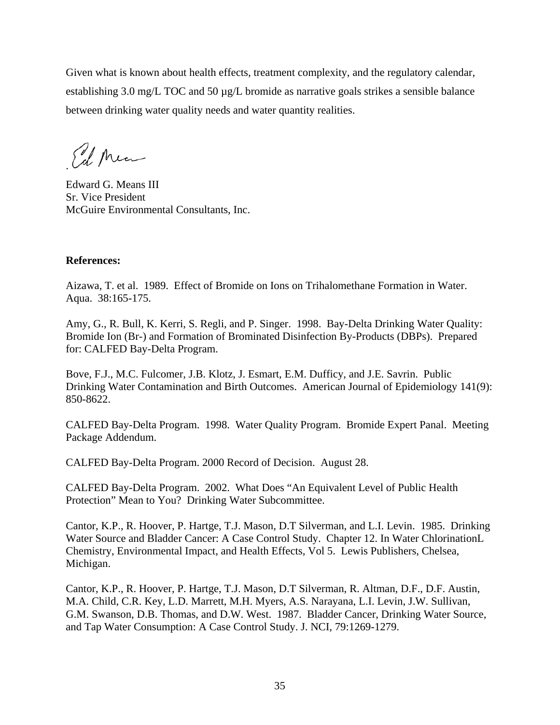Given what is known about health effects, treatment complexity, and the regulatory calendar, establishing 3.0 mg/L TOC and 50 µg/L bromide as narrative goals strikes a sensible balance between drinking water quality needs and water quantity realities.

Ed Ma

Edward G. Means III Sr. Vice President McGuire Environmental Consultants, Inc.

## **References:**

Aizawa, T. et al. 1989. Effect of Bromide on Ions on Trihalomethane Formation in Water. Aqua. 38:165-175.

Amy, G., R. Bull, K. Kerri, S. Regli, and P. Singer. 1998. Bay-Delta Drinking Water Quality: Bromide Ion (Br-) and Formation of Brominated Disinfection By-Products (DBPs). Prepared for: CALFED Bay-Delta Program.

Bove, F.J., M.C. Fulcomer, J.B. Klotz, J. Esmart, E.M. Dufficy, and J.E. Savrin. Public Drinking Water Contamination and Birth Outcomes. American Journal of Epidemiology 141(9): 850-8622.

CALFED Bay-Delta Program. 1998. Water Quality Program. Bromide Expert Panal. Meeting Package Addendum.

CALFED Bay-Delta Program. 2000 Record of Decision. August 28.

CALFED Bay-Delta Program. 2002. What Does "An Equivalent Level of Public Health Protection" Mean to You? Drinking Water Subcommittee.

Cantor, K.P., R. Hoover, P. Hartge, T.J. Mason, D.T Silverman, and L.I. Levin. 1985. Drinking Water Source and Bladder Cancer: A Case Control Study. Chapter 12. In Water ChlorinationL Chemistry, Environmental Impact, and Health Effects, Vol 5. Lewis Publishers, Chelsea, Michigan.

Cantor, K.P., R. Hoover, P. Hartge, T.J. Mason, D.T Silverman, R. Altman, D.F., D.F. Austin, M.A. Child, C.R. Key, L.D. Marrett, M.H. Myers, A.S. Narayana, L.I. Levin, J.W. Sullivan, G.M. Swanson, D.B. Thomas, and D.W. West. 1987. Bladder Cancer, Drinking Water Source, and Tap Water Consumption: A Case Control Study. J. NCI, 79:1269-1279.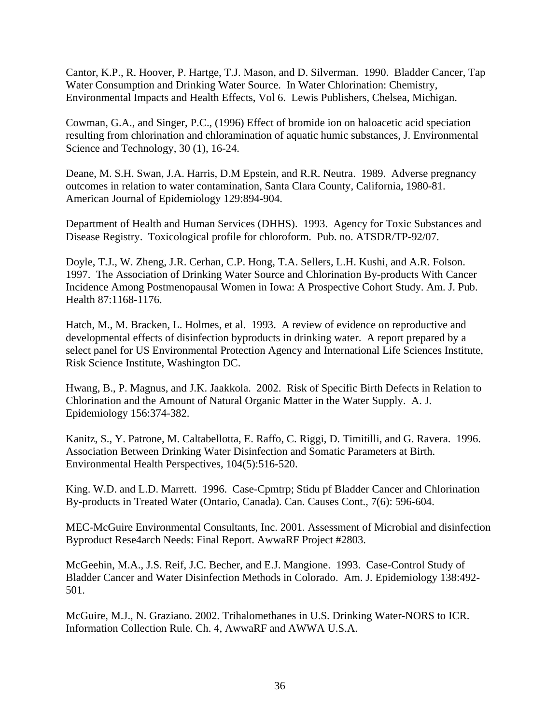Cantor, K.P., R. Hoover, P. Hartge, T.J. Mason, and D. Silverman. 1990. Bladder Cancer, Tap Water Consumption and Drinking Water Source. In Water Chlorination: Chemistry, Environmental Impacts and Health Effects, Vol 6. Lewis Publishers, Chelsea, Michigan.

Cowman, G.A., and Singer, P.C., (1996) Effect of bromide ion on haloacetic acid speciation resulting from chlorination and chloramination of aquatic humic substances, J. Environmental Science and Technology, 30 (1), 16-24.

Deane, M. S.H. Swan, J.A. Harris, D.M Epstein, and R.R. Neutra. 1989. Adverse pregnancy outcomes in relation to water contamination, Santa Clara County, California, 1980-81. American Journal of Epidemiology 129:894-904.

Department of Health and Human Services (DHHS). 1993. Agency for Toxic Substances and Disease Registry. Toxicological profile for chloroform. Pub. no. ATSDR/TP-92/07.

Doyle, T.J., W. Zheng, J.R. Cerhan, C.P. Hong, T.A. Sellers, L.H. Kushi, and A.R. Folson. 1997. The Association of Drinking Water Source and Chlorination By-products With Cancer Incidence Among Postmenopausal Women in Iowa: A Prospective Cohort Study. Am. J. Pub. Health 87:1168-1176.

Hatch, M., M. Bracken, L. Holmes, et al. 1993. A review of evidence on reproductive and developmental effects of disinfection byproducts in drinking water. A report prepared by a select panel for US Environmental Protection Agency and International Life Sciences Institute, Risk Science Institute, Washington DC.

Hwang, B., P. Magnus, and J.K. Jaakkola. 2002. Risk of Specific Birth Defects in Relation to Chlorination and the Amount of Natural Organic Matter in the Water Supply. A. J. Epidemiology 156:374-382.

Kanitz, S., Y. Patrone, M. Caltabellotta, E. Raffo, C. Riggi, D. Timitilli, and G. Ravera. 1996. Association Between Drinking Water Disinfection and Somatic Parameters at Birth. Environmental Health Perspectives, 104(5):516-520.

King. W.D. and L.D. Marrett. 1996. Case-Cpmtrp; Stidu pf Bladder Cancer and Chlorination By-products in Treated Water (Ontario, Canada). Can. Causes Cont., 7(6): 596-604.

MEC-McGuire Environmental Consultants, Inc. 2001. Assessment of Microbial and disinfection Byproduct Rese4arch Needs: Final Report. AwwaRF Project #2803.

McGeehin, M.A., J.S. Reif, J.C. Becher, and E.J. Mangione. 1993. Case-Control Study of Bladder Cancer and Water Disinfection Methods in Colorado. Am. J. Epidemiology 138:492- 501.

McGuire, M.J., N. Graziano. 2002. Trihalomethanes in U.S. Drinking Water-NORS to ICR. Information Collection Rule. Ch. 4, AwwaRF and AWWA U.S.A.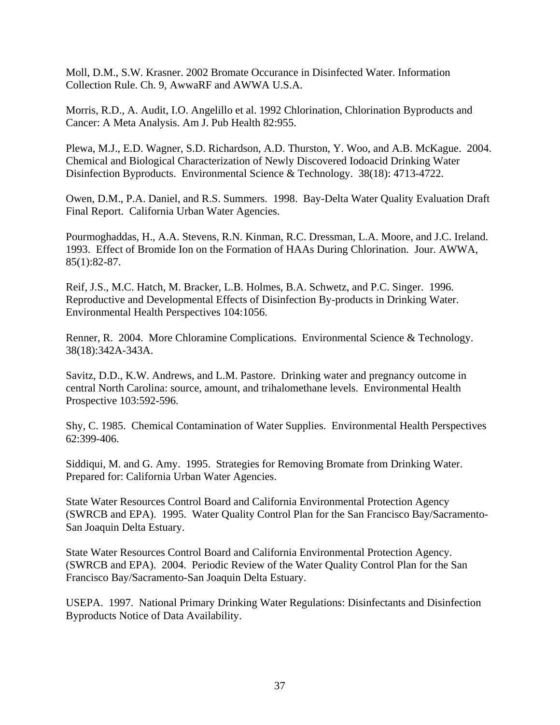Moll, D.M., S.W. Krasner. 2002 Bromate Occurance in Disinfected Water. Information Collection Rule. Ch. 9, AwwaRF and AWWA U.S.A.

Morris, R.D., A. Audit, I.O. Angelillo et al. 1992 Chlorination, Chlorination Byproducts and Cancer: A Meta Analysis. Am J. Pub Health 82:955.

Plewa, M.J., E.D. Wagner, S.D. Richardson, A.D. Thurston, Y. Woo, and A.B. McKague. 2004. Chemical and Biological Characterization of Newly Discovered Iodoacid Drinking Water Disinfection Byproducts. Environmental Science & Technology. 38(18): 4713-4722.

Owen, D.M., P.A. Daniel, and R.S. Summers. 1998. Bay-Delta Water Quality Evaluation Draft Final Report. California Urban Water Agencies.

Pourmoghaddas, H., A.A. Stevens, R.N. Kinman, R.C. Dressman, L.A. Moore, and J.C. Ireland. 1993. Effect of Bromide Ion on the Formation of HAAs During Chlorination. Jour. AWWA, 85(1):82-87.

Reif, J.S., M.C. Hatch, M. Bracker, L.B. Holmes, B.A. Schwetz, and P.C. Singer. 1996. Reproductive and Developmental Effects of Disinfection By-products in Drinking Water. Environmental Health Perspectives 104:1056.

Renner, R. 2004. More Chloramine Complications. Environmental Science & Technology. 38(18):342A-343A.

Savitz, D.D., K.W. Andrews, and L.M. Pastore. Drinking water and pregnancy outcome in central North Carolina: source, amount, and trihalomethane levels. Environmental Health Prospective 103:592-596.

Shy, C. 1985. Chemical Contamination of Water Supplies. Environmental Health Perspectives 62:399-406.

Siddiqui, M. and G. Amy. 1995. Strategies for Removing Bromate from Drinking Water. Prepared for: California Urban Water Agencies.

State Water Resources Control Board and California Environmental Protection Agency (SWRCB and EPA). 1995. Water Quality Control Plan for the San Francisco Bay/Sacramento-San Joaquin Delta Estuary.

State Water Resources Control Board and California Environmental Protection Agency. (SWRCB and EPA). 2004. Periodic Review of the Water Quality Control Plan for the San Francisco Bay/Sacramento-San Joaquin Delta Estuary.

USEPA. 1997. National Primary Drinking Water Regulations: Disinfectants and Disinfection Byproducts Notice of Data Availability.